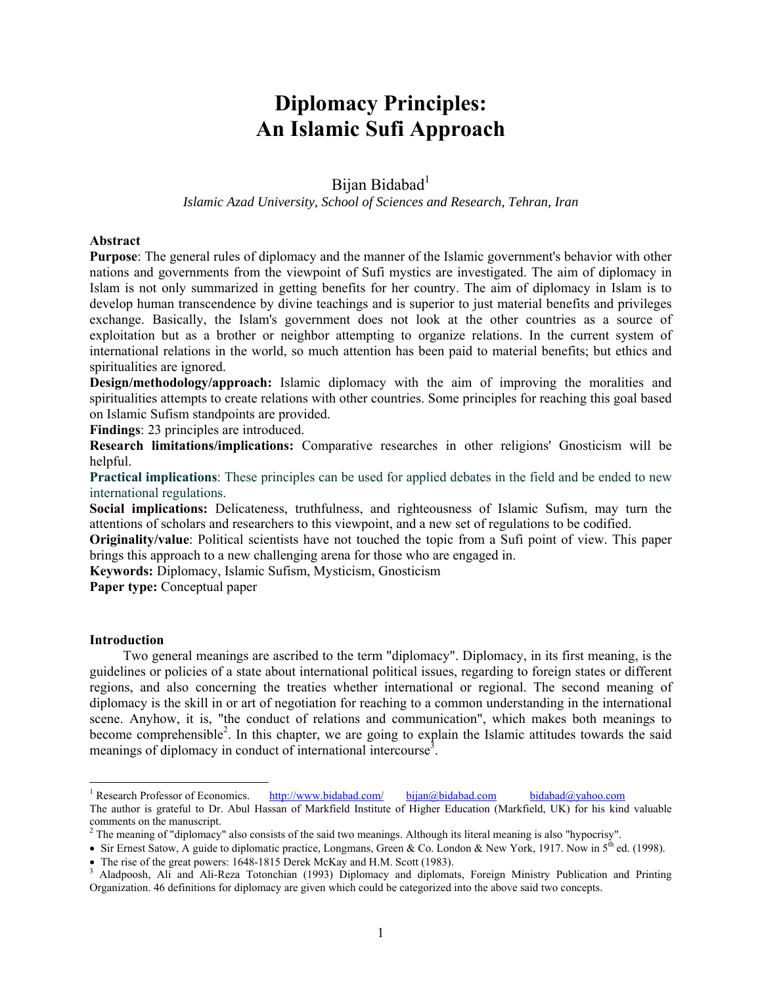# **Diplomacy Principles: An Islamic Sufi Approach**

## Bijan Bidabad<sup>1</sup>

*Islamic Azad University, School of Sciences and Research, Tehran, Iran* 

## **Abstract**

**Purpose**: The general rules of diplomacy and the manner of the Islamic government's behavior with other nations and governments from the viewpoint of Sufi mystics are investigated. The aim of diplomacy in Islam is not only summarized in getting benefits for her country. The aim of diplomacy in Islam is to develop human transcendence by divine teachings and is superior to just material benefits and privileges exchange. Basically, the Islam's government does not look at the other countries as a source of exploitation but as a brother or neighbor attempting to organize relations. In the current system of international relations in the world, so much attention has been paid to material benefits; but ethics and spiritualities are ignored.

**Design/methodology/approach:** Islamic diplomacy with the aim of improving the moralities and spiritualities attempts to create relations with other countries. Some principles for reaching this goal based on Islamic Sufism standpoints are provided.

**Findings**: 23 principles are introduced.

**Research limitations/implications:** Comparative researches in other religions' Gnosticism will be helpful.

**Practical implications**: These principles can be used for applied debates in the field and be ended to new international regulations.

**Social implications:** Delicateness, truthfulness, and righteousness of Islamic Sufism, may turn the attentions of scholars and researchers to this viewpoint, and a new set of regulations to be codified.

**Originality/value**: Political scientists have not touched the topic from a Sufi point of view. This paper brings this approach to a new challenging arena for those who are engaged in.

**Keywords:** Diplomacy, Islamic Sufism, Mysticism, Gnosticism

**Paper type:** Conceptual paper

#### **Introduction**

 $\overline{a}$ 

Two general meanings are ascribed to the term "diplomacy". Diplomacy, in its first meaning, is the guidelines or policies of a state about international political issues, regarding to foreign states or different regions, and also concerning the treaties whether international or regional. The second meaning of diplomacy is the skill in or art of negotiation for reaching to a common understanding in the international scene. Anyhow, it is, "the conduct of relations and communication", which makes both meanings to become comprehensible<sup>2</sup>. In this chapter, we are going to explain the Islamic attitudes towards the said meanings of diplomacy in conduct of international intercourse<sup>3</sup>.

<sup>&</sup>lt;sup>1</sup> Research Professor of Economics. http://www.bidabad.com/ bijan@bidabad.com bidabad@yahoo.com The author is grateful to Dr. Abul Hassan of Markfield Institute of Higher Education (Markfield, UK) for his kind valuable

comments on the manuscript. 2 The meaning of "diplomacy" also consists of the said two meanings. Although its literal meaning is also "hypocrisy".

Sir Ernest Satow, A guide to diplomatic practice, Longmans, Green & Co. London & New York, 1917. Now in  $5<sup>th</sup>$  ed. (1998).

The rise of the great powers: 1648-1815 Derek McKay and H.M. Scott (1983).

Aladpoosh, Ali and Ali-Reza Totonchian (1993) Diplomacy and diplomats, Foreign Ministry Publication and Printing Organization. 46 definitions for diplomacy are given which could be categorized into the above said two concepts.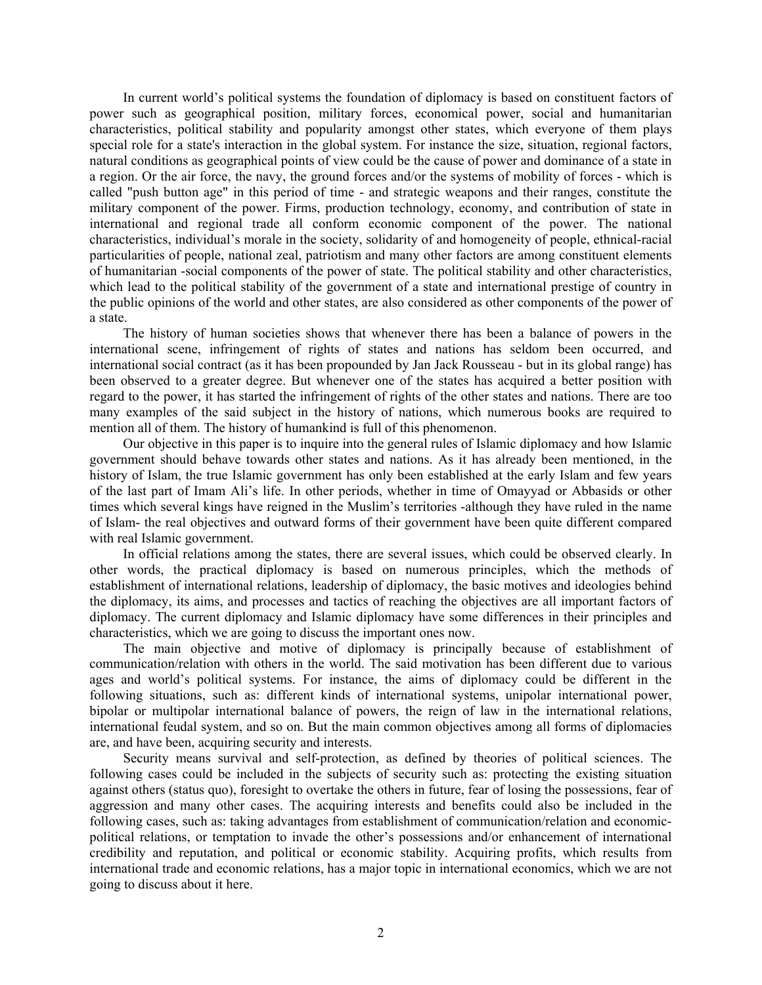In current world's political systems the foundation of diplomacy is based on constituent factors of power such as geographical position, military forces, economical power, social and humanitarian characteristics, political stability and popularity amongst other states, which everyone of them plays special role for a state's interaction in the global system. For instance the size, situation, regional factors, natural conditions as geographical points of view could be the cause of power and dominance of a state in a region. Or the air force, the navy, the ground forces and/or the systems of mobility of forces - which is called "push button age" in this period of time - and strategic weapons and their ranges, constitute the military component of the power. Firms, production technology, economy, and contribution of state in international and regional trade all conform economic component of the power. The national characteristics, individual's morale in the society, solidarity of and homogeneity of people, ethnical-racial particularities of people, national zeal, patriotism and many other factors are among constituent elements of humanitarian -social components of the power of state. The political stability and other characteristics, which lead to the political stability of the government of a state and international prestige of country in the public opinions of the world and other states, are also considered as other components of the power of a state.

The history of human societies shows that whenever there has been a balance of powers in the international scene, infringement of rights of states and nations has seldom been occurred, and international social contract (as it has been propounded by Jan Jack Rousseau - but in its global range) has been observed to a greater degree. But whenever one of the states has acquired a better position with regard to the power, it has started the infringement of rights of the other states and nations. There are too many examples of the said subject in the history of nations, which numerous books are required to mention all of them. The history of humankind is full of this phenomenon.

Our objective in this paper is to inquire into the general rules of Islamic diplomacy and how Islamic government should behave towards other states and nations. As it has already been mentioned, in the history of Islam, the true Islamic government has only been established at the early Islam and few years of the last part of Imam Ali's life. In other periods, whether in time of Omayyad or Abbasids or other times which several kings have reigned in the Muslim's territories -although they have ruled in the name of Islam- the real objectives and outward forms of their government have been quite different compared with real Islamic government.

In official relations among the states, there are several issues, which could be observed clearly. In other words, the practical diplomacy is based on numerous principles, which the methods of establishment of international relations, leadership of diplomacy, the basic motives and ideologies behind the diplomacy, its aims, and processes and tactics of reaching the objectives are all important factors of diplomacy. The current diplomacy and Islamic diplomacy have some differences in their principles and characteristics, which we are going to discuss the important ones now.

The main objective and motive of diplomacy is principally because of establishment of communication/relation with others in the world. The said motivation has been different due to various ages and world's political systems. For instance, the aims of diplomacy could be different in the following situations, such as: different kinds of international systems, unipolar international power, bipolar or multipolar international balance of powers, the reign of law in the international relations, international feudal system, and so on. But the main common objectives among all forms of diplomacies are, and have been, acquiring security and interests.

Security means survival and self-protection, as defined by theories of political sciences. The following cases could be included in the subjects of security such as: protecting the existing situation against others (status quo), foresight to overtake the others in future, fear of losing the possessions, fear of aggression and many other cases. The acquiring interests and benefits could also be included in the following cases, such as: taking advantages from establishment of communication/relation and economicpolitical relations, or temptation to invade the other's possessions and/or enhancement of international credibility and reputation, and political or economic stability. Acquiring profits, which results from international trade and economic relations, has a major topic in international economics, which we are not going to discuss about it here.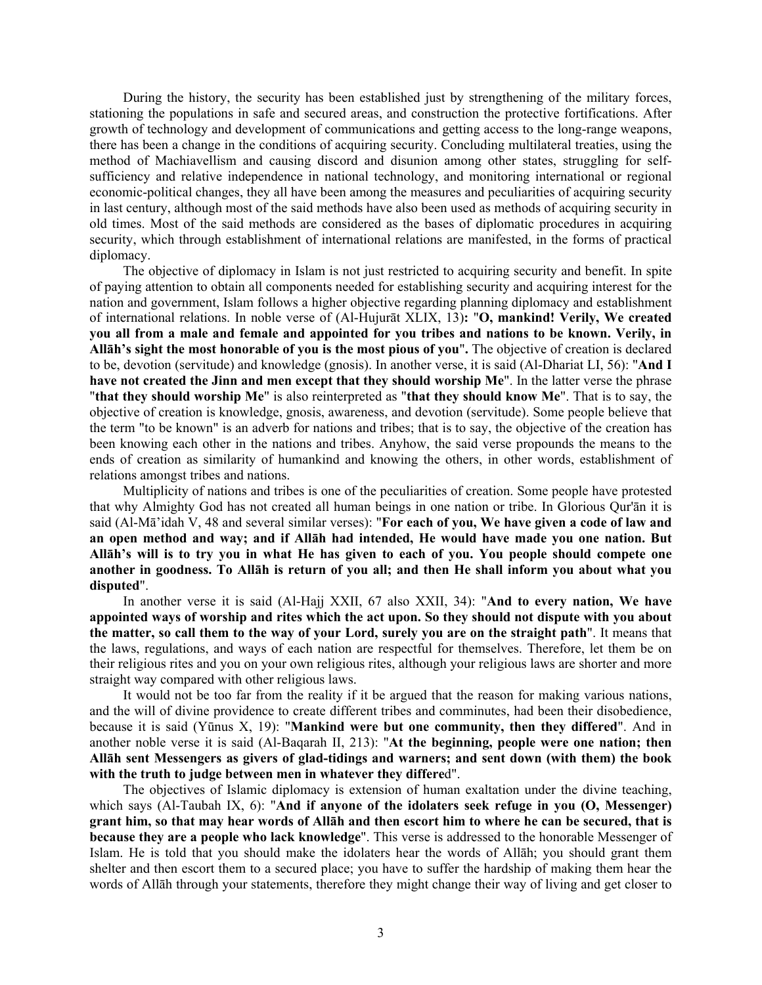During the history, the security has been established just by strengthening of the military forces, stationing the populations in safe and secured areas, and construction the protective fortifications. After growth of technology and development of communications and getting access to the long-range weapons, there has been a change in the conditions of acquiring security. Concluding multilateral treaties, using the method of Machiavellism and causing discord and disunion among other states, struggling for selfsufficiency and relative independence in national technology, and monitoring international or regional economic-political changes, they all have been among the measures and peculiarities of acquiring security in last century, although most of the said methods have also been used as methods of acquiring security in old times. Most of the said methods are considered as the bases of diplomatic procedures in acquiring security, which through establishment of international relations are manifested, in the forms of practical diplomacy.

The objective of diplomacy in Islam is not just restricted to acquiring security and benefit. In spite of paying attention to obtain all components needed for establishing security and acquiring interest for the nation and government, Islam follows a higher objective regarding planning diplomacy and establishment of international relations. In noble verse of (Al-Hujurāt XLIX, 13)**:** "**O, mankind! Verily, We created you all from a male and female and appointed for you tribes and nations to be known. Verily, in Allāh's sight the most honorable of you is the most pious of you**"**.** The objective of creation is declared to be, devotion (servitude) and knowledge (gnosis). In another verse, it is said (Al-Dhariat LI, 56): "**And I have not created the Jinn and men except that they should worship Me**". In the latter verse the phrase "**that they should worship Me**" is also reinterpreted as "**that they should know Me**". That is to say, the objective of creation is knowledge, gnosis, awareness, and devotion (servitude). Some people believe that the term "to be known" is an adverb for nations and tribes; that is to say, the objective of the creation has been knowing each other in the nations and tribes. Anyhow, the said verse propounds the means to the ends of creation as similarity of humankind and knowing the others, in other words, establishment of relations amongst tribes and nations.

Multiplicity of nations and tribes is one of the peculiarities of creation. Some people have protested that why Almighty God has not created all human beings in one nation or tribe. In Glorious Qur'ān it is said (Al-Mā'idah V, 48 and several similar verses): "**For each of you, We have given a code of law and an open method and way; and if Allāh had intended, He would have made you one nation. But Allāh's will is to try you in what He has given to each of you. You people should compete one another in goodness. To Allāh is return of you all; and then He shall inform you about what you disputed**".

In another verse it is said (Al-Hajj XXII, 67 also XXII, 34): "**And to every nation, We have appointed ways of worship and rites which the act upon. So they should not dispute with you about the matter, so call them to the way of your Lord, surely you are on the straight path**". It means that the laws, regulations, and ways of each nation are respectful for themselves. Therefore, let them be on their religious rites and you on your own religious rites, although your religious laws are shorter and more straight way compared with other religious laws.

It would not be too far from the reality if it be argued that the reason for making various nations, and the will of divine providence to create different tribes and comminutes, had been their disobedience, because it is said (Yūnus X, 19): "**Mankind were but one community, then they differed**". And in another noble verse it is said (Al-Baqarah II, 213): "**At the beginning, people were one nation; then Allāh sent Messengers as givers of glad-tidings and warners; and sent down (with them) the book with the truth to judge between men in whatever they differe**d".

The objectives of Islamic diplomacy is extension of human exaltation under the divine teaching, which says (Al-Taubah IX, 6): "**And if anyone of the idolaters seek refuge in you (O, Messenger) grant him, so that may hear words of Allāh and then escort him to where he can be secured, that is because they are a people who lack knowledge**". This verse is addressed to the honorable Messenger of Islam. He is told that you should make the idolaters hear the words of Allāh; you should grant them shelter and then escort them to a secured place; you have to suffer the hardship of making them hear the words of Allāh through your statements, therefore they might change their way of living and get closer to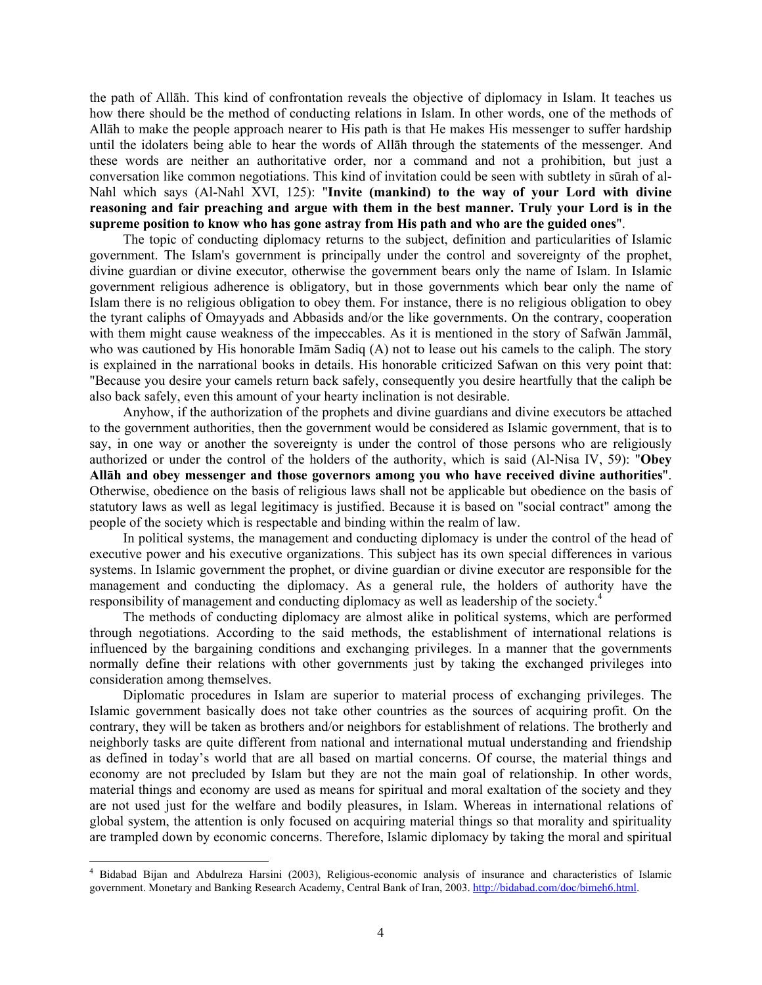the path of Allāh. This kind of confrontation reveals the objective of diplomacy in Islam. It teaches us how there should be the method of conducting relations in Islam. In other words, one of the methods of Allāh to make the people approach nearer to His path is that He makes His messenger to suffer hardship until the idolaters being able to hear the words of Allāh through the statements of the messenger. And these words are neither an authoritative order, nor a command and not a prohibition, but just a conversation like common negotiations. This kind of invitation could be seen with subtlety in sūrah of al-Nahl which says (Al-Nahl XVI, 125): "**Invite (mankind) to the way of your Lord with divine reasoning and fair preaching and argue with them in the best manner. Truly your Lord is in the supreme position to know who has gone astray from His path and who are the guided ones**".

The topic of conducting diplomacy returns to the subject, definition and particularities of Islamic government. The Islam's government is principally under the control and sovereignty of the prophet, divine guardian or divine executor, otherwise the government bears only the name of Islam. In Islamic government religious adherence is obligatory, but in those governments which bear only the name of Islam there is no religious obligation to obey them. For instance, there is no religious obligation to obey the tyrant caliphs of Omayyads and Abbasids and/or the like governments. On the contrary, cooperation with them might cause weakness of the impeccables. As it is mentioned in the story of Safwān Jammāl, who was cautioned by His honorable Imām Sadiq (A) not to lease out his camels to the caliph. The story is explained in the narrational books in details. His honorable criticized Safwan on this very point that: "Because you desire your camels return back safely, consequently you desire heartfully that the caliph be also back safely, even this amount of your hearty inclination is not desirable.

Anyhow, if the authorization of the prophets and divine guardians and divine executors be attached to the government authorities, then the government would be considered as Islamic government, that is to say, in one way or another the sovereignty is under the control of those persons who are religiously authorized or under the control of the holders of the authority, which is said (Al-Nisa IV, 59): "**Obey Allāh and obey messenger and those governors among you who have received divine authorities**". Otherwise, obedience on the basis of religious laws shall not be applicable but obedience on the basis of statutory laws as well as legal legitimacy is justified. Because it is based on "social contract" among the people of the society which is respectable and binding within the realm of law.

In political systems, the management and conducting diplomacy is under the control of the head of executive power and his executive organizations. This subject has its own special differences in various systems. In Islamic government the prophet, or divine guardian or divine executor are responsible for the management and conducting the diplomacy. As a general rule, the holders of authority have the responsibility of management and conducting diplomacy as well as leadership of the society.<sup>4</sup>

The methods of conducting diplomacy are almost alike in political systems, which are performed through negotiations. According to the said methods, the establishment of international relations is influenced by the bargaining conditions and exchanging privileges. In a manner that the governments normally define their relations with other governments just by taking the exchanged privileges into consideration among themselves.

Diplomatic procedures in Islam are superior to material process of exchanging privileges. The Islamic government basically does not take other countries as the sources of acquiring profit. On the contrary, they will be taken as brothers and/or neighbors for establishment of relations. The brotherly and neighborly tasks are quite different from national and international mutual understanding and friendship as defined in today's world that are all based on martial concerns. Of course, the material things and economy are not precluded by Islam but they are not the main goal of relationship. In other words, material things and economy are used as means for spiritual and moral exaltation of the society and they are not used just for the welfare and bodily pleasures, in Islam. Whereas in international relations of global system, the attention is only focused on acquiring material things so that morality and spirituality are trampled down by economic concerns. Therefore, Islamic diplomacy by taking the moral and spiritual

 4 Bidabad Bijan and Abdulreza Harsini (2003), Religious-economic analysis of insurance and characteristics of Islamic government. Monetary and Banking Research Academy, Central Bank of Iran, 2003. http://bidabad.com/doc/bimeh6.html.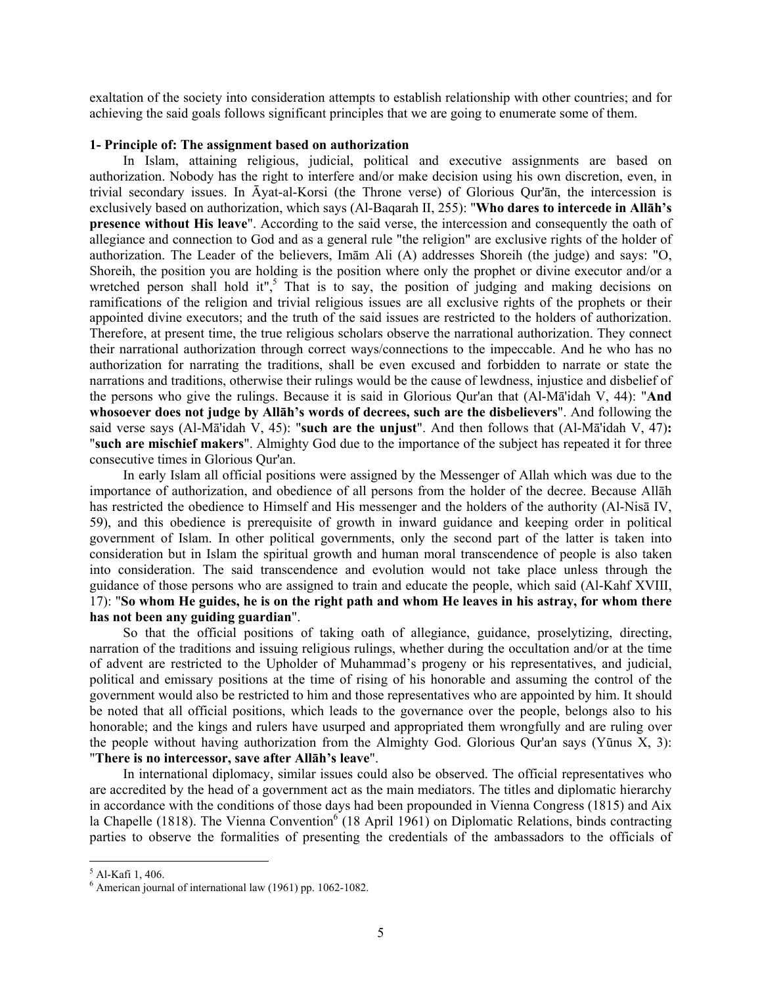exaltation of the society into consideration attempts to establish relationship with other countries; and for achieving the said goals follows significant principles that we are going to enumerate some of them.

### **1- Principle of: The assignment based on authorization**

In Islam, attaining religious, judicial, political and executive assignments are based on authorization. Nobody has the right to interfere and/or make decision using his own discretion, even, in trivial secondary issues. In Āyat-al-Korsi (the Throne verse) of Glorious Qur'ān, the intercession is exclusively based on authorization, which says (Al-Baqarah II, 255): "**Who dares to intercede in Allāh's presence without His leave**". According to the said verse, the intercession and consequently the oath of allegiance and connection to God and as a general rule "the religion" are exclusive rights of the holder of authorization. The Leader of the believers, Imām Ali (A) addresses Shoreih (the judge) and says: "O, Shoreih, the position you are holding is the position where only the prophet or divine executor and/or a wretched person shall hold it",<sup>5</sup> That is to say, the position of judging and making decisions on ramifications of the religion and trivial religious issues are all exclusive rights of the prophets or their appointed divine executors; and the truth of the said issues are restricted to the holders of authorization. Therefore, at present time, the true religious scholars observe the narrational authorization. They connect their narrational authorization through correct ways/connections to the impeccable. And he who has no authorization for narrating the traditions, shall be even excused and forbidden to narrate or state the narrations and traditions, otherwise their rulings would be the cause of lewdness, injustice and disbelief of the persons who give the rulings. Because it is said in Glorious Qur'an that (Al-Mā'idah V, 44): "**And whosoever does not judge by Allāh's words of decrees, such are the disbelievers**". And following the said verse says (Al-Mā'idah V, 45): "**such are the unjust**". And then follows that (Al-Mā'idah V, 47)**:**  "**such are mischief makers**". Almighty God due to the importance of the subject has repeated it for three consecutive times in Glorious Qur'an.

In early Islam all official positions were assigned by the Messenger of Allah which was due to the importance of authorization, and obedience of all persons from the holder of the decree. Because Allāh has restricted the obedience to Himself and His messenger and the holders of the authority (Al-Nisā IV, 59), and this obedience is prerequisite of growth in inward guidance and keeping order in political government of Islam. In other political governments, only the second part of the latter is taken into consideration but in Islam the spiritual growth and human moral transcendence of people is also taken into consideration. The said transcendence and evolution would not take place unless through the guidance of those persons who are assigned to train and educate the people, which said (Al-Kahf XVIII, 17): "**So whom He guides, he is on the right path and whom He leaves in his astray, for whom there has not been any guiding guardian**".

So that the official positions of taking oath of allegiance, guidance, proselytizing, directing, narration of the traditions and issuing religious rulings, whether during the occultation and/or at the time of advent are restricted to the Upholder of Muhammad's progeny or his representatives, and judicial, political and emissary positions at the time of rising of his honorable and assuming the control of the government would also be restricted to him and those representatives who are appointed by him. It should be noted that all official positions, which leads to the governance over the people, belongs also to his honorable; and the kings and rulers have usurped and appropriated them wrongfully and are ruling over the people without having authorization from the Almighty God. Glorious Qur'an says (Yūnus X, 3): "**There is no intercessor, save after Allāh's leave**".

In international diplomacy, similar issues could also be observed. The official representatives who are accredited by the head of a government act as the main mediators. The titles and diplomatic hierarchy in accordance with the conditions of those days had been propounded in Vienna Congress (1815) and Aix la Chapelle (1818). The Vienna Convention<sup>6</sup> (18 April 1961) on Diplomatic Relations, binds contracting parties to observe the formalities of presenting the credentials of the ambassadors to the officials of

<sup>5</sup> Al-Kafi 1, 406.

<sup>6</sup> American journal of international law (1961) pp. 1062-1082.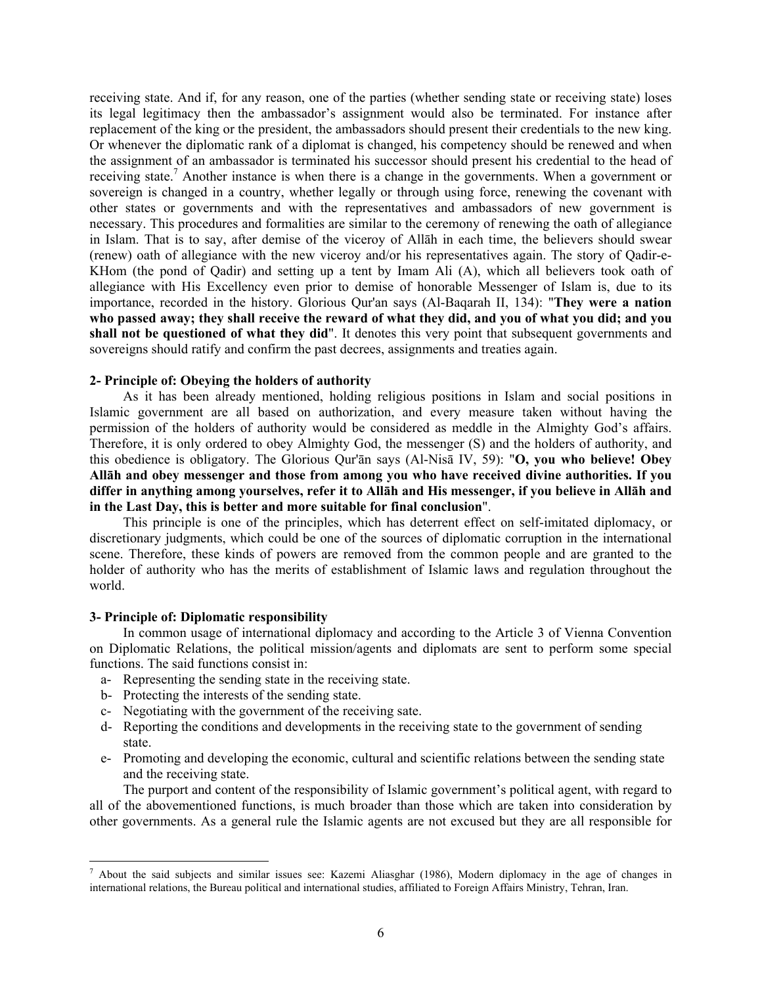receiving state. And if, for any reason, one of the parties (whether sending state or receiving state) loses its legal legitimacy then the ambassador's assignment would also be terminated. For instance after replacement of the king or the president, the ambassadors should present their credentials to the new king. Or whenever the diplomatic rank of a diplomat is changed, his competency should be renewed and when the assignment of an ambassador is terminated his successor should present his credential to the head of receiving state.<sup>7</sup> Another instance is when there is a change in the governments. When a government or sovereign is changed in a country, whether legally or through using force, renewing the covenant with other states or governments and with the representatives and ambassadors of new government is necessary. This procedures and formalities are similar to the ceremony of renewing the oath of allegiance in Islam. That is to say, after demise of the viceroy of Allāh in each time, the believers should swear (renew) oath of allegiance with the new viceroy and/or his representatives again. The story of Qadir-e-KHom (the pond of Qadir) and setting up a tent by Imam Ali (A), which all believers took oath of allegiance with His Excellency even prior to demise of honorable Messenger of Islam is, due to its importance, recorded in the history. Glorious Qur'an says (Al-Baqarah II, 134): "**They were a nation who passed away; they shall receive the reward of what they did, and you of what you did; and you shall not be questioned of what they did**". It denotes this very point that subsequent governments and sovereigns should ratify and confirm the past decrees, assignments and treaties again.

### **2- Principle of: Obeying the holders of authority**

As it has been already mentioned, holding religious positions in Islam and social positions in Islamic government are all based on authorization, and every measure taken without having the permission of the holders of authority would be considered as meddle in the Almighty God's affairs. Therefore, it is only ordered to obey Almighty God, the messenger (S) and the holders of authority, and this obedience is obligatory. The Glorious Qur'ān says (Al-Nisā IV, 59): "**O, you who believe! Obey Allāh and obey messenger and those from among you who have received divine authorities. If you differ in anything among yourselves, refer it to Allāh and His messenger, if you believe in Allāh and in the Last Day, this is better and more suitable for final conclusion**".

This principle is one of the principles, which has deterrent effect on self-imitated diplomacy, or discretionary judgments, which could be one of the sources of diplomatic corruption in the international scene. Therefore, these kinds of powers are removed from the common people and are granted to the holder of authority who has the merits of establishment of Islamic laws and regulation throughout the world.

## **3- Principle of: Diplomatic responsibility**

In common usage of international diplomacy and according to the Article 3 of Vienna Convention on Diplomatic Relations, the political mission/agents and diplomats are sent to perform some special functions. The said functions consist in:

- a- Representing the sending state in the receiving state.
- b- Protecting the interests of the sending state.
- c- Negotiating with the government of the receiving sate.
- d- Reporting the conditions and developments in the receiving state to the government of sending state.
- e- Promoting and developing the economic, cultural and scientific relations between the sending state and the receiving state.

The purport and content of the responsibility of Islamic government's political agent, with regard to all of the abovementioned functions, is much broader than those which are taken into consideration by other governments. As a general rule the Islamic agents are not excused but they are all responsible for

<sup>&</sup>lt;sup>7</sup> About the said subjects and similar issues see: Kazemi Aliasghar (1986), Modern diplomacy in the age of changes in international relations, the Bureau political and international studies, affiliated to Foreign Affairs Ministry, Tehran, Iran.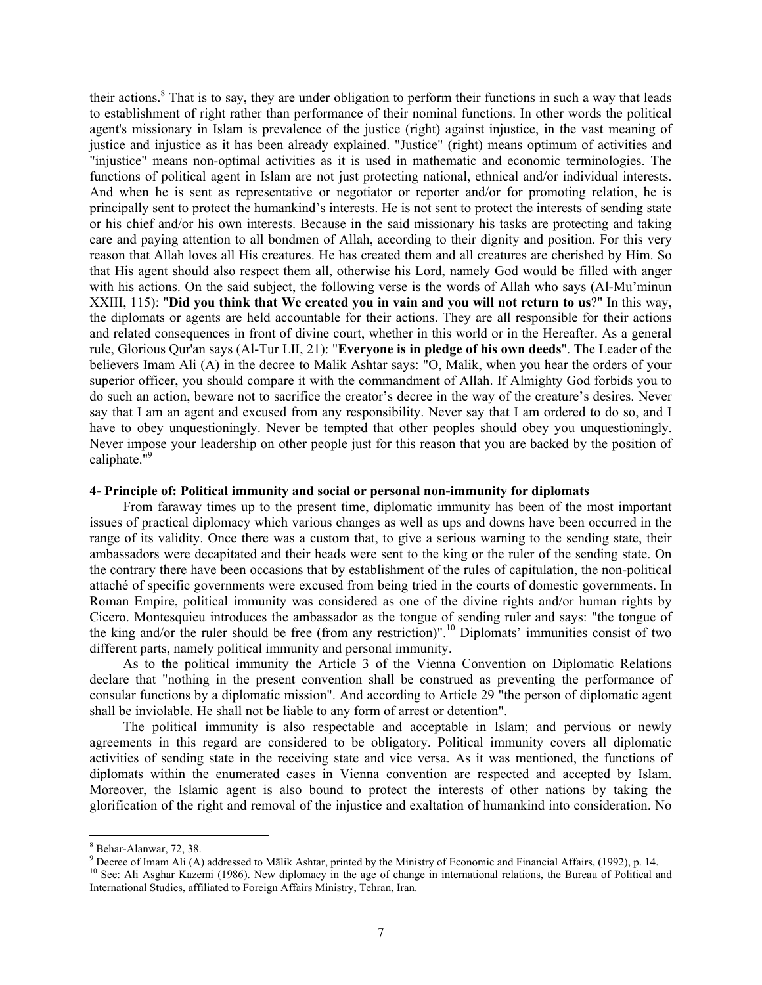their actions.<sup>8</sup> That is to say, they are under obligation to perform their functions in such a way that leads to establishment of right rather than performance of their nominal functions. In other words the political agent's missionary in Islam is prevalence of the justice (right) against injustice, in the vast meaning of justice and injustice as it has been already explained. "Justice" (right) means optimum of activities and "injustice" means non-optimal activities as it is used in mathematic and economic terminologies. The functions of political agent in Islam are not just protecting national, ethnical and/or individual interests. And when he is sent as representative or negotiator or reporter and/or for promoting relation, he is principally sent to protect the humankind's interests. He is not sent to protect the interests of sending state or his chief and/or his own interests. Because in the said missionary his tasks are protecting and taking care and paying attention to all bondmen of Allah, according to their dignity and position. For this very reason that Allah loves all His creatures. He has created them and all creatures are cherished by Him. So that His agent should also respect them all, otherwise his Lord, namely God would be filled with anger with his actions. On the said subject, the following verse is the words of Allah who says (Al-Mu'minun XXIII, 115): "**Did you think that We created you in vain and you will not return to us**?" In this way, the diplomats or agents are held accountable for their actions. They are all responsible for their actions and related consequences in front of divine court, whether in this world or in the Hereafter. As a general rule, Glorious Qur'an says (Al-Tur LII, 21): "**Everyone is in pledge of his own deeds**". The Leader of the believers Imam Ali (A) in the decree to Malik Ashtar says: "O, Malik, when you hear the orders of your superior officer, you should compare it with the commandment of Allah. If Almighty God forbids you to do such an action, beware not to sacrifice the creator's decree in the way of the creature's desires. Never say that I am an agent and excused from any responsibility. Never say that I am ordered to do so, and I have to obey unquestioningly. Never be tempted that other peoples should obey you unquestioningly. Never impose your leadership on other people just for this reason that you are backed by the position of caliphate.<sup>19</sup>

#### **4- Principle of: Political immunity and social or personal non-immunity for diplomats**

From faraway times up to the present time, diplomatic immunity has been of the most important issues of practical diplomacy which various changes as well as ups and downs have been occurred in the range of its validity. Once there was a custom that, to give a serious warning to the sending state, their ambassadors were decapitated and their heads were sent to the king or the ruler of the sending state. On the contrary there have been occasions that by establishment of the rules of capitulation, the non-political attaché of specific governments were excused from being tried in the courts of domestic governments. In Roman Empire, political immunity was considered as one of the divine rights and/or human rights by Cicero. Montesquieu introduces the ambassador as the tongue of sending ruler and says: "the tongue of the king and/or the ruler should be free (from any restriction)".10 Diplomats' immunities consist of two different parts, namely political immunity and personal immunity.

As to the political immunity the Article 3 of the Vienna Convention on Diplomatic Relations declare that "nothing in the present convention shall be construed as preventing the performance of consular functions by a diplomatic mission". And according to Article 29 "the person of diplomatic agent shall be inviolable. He shall not be liable to any form of arrest or detention".

The political immunity is also respectable and acceptable in Islam; and pervious or newly agreements in this regard are considered to be obligatory. Political immunity covers all diplomatic activities of sending state in the receiving state and vice versa. As it was mentioned, the functions of diplomats within the enumerated cases in Vienna convention are respected and accepted by Islam. Moreover, the Islamic agent is also bound to protect the interests of other nations by taking the glorification of the right and removal of the injustice and exaltation of humankind into consideration. No

<sup>8</sup> Behar-Alanwar, 72, 38.

<sup>&</sup>lt;sup>9</sup> Decree of Imam Ali (A) addressed to Mālik Ashtar, printed by the Ministry of Economic and Financial Affairs, (1992), p. 14.

<sup>&</sup>lt;sup>10</sup> See: Ali Asghar Kazemi (1986). New diplomacy in the age of change in international relations, the Bureau of Political and International Studies, affiliated to Foreign Affairs Ministry, Tehran, Iran.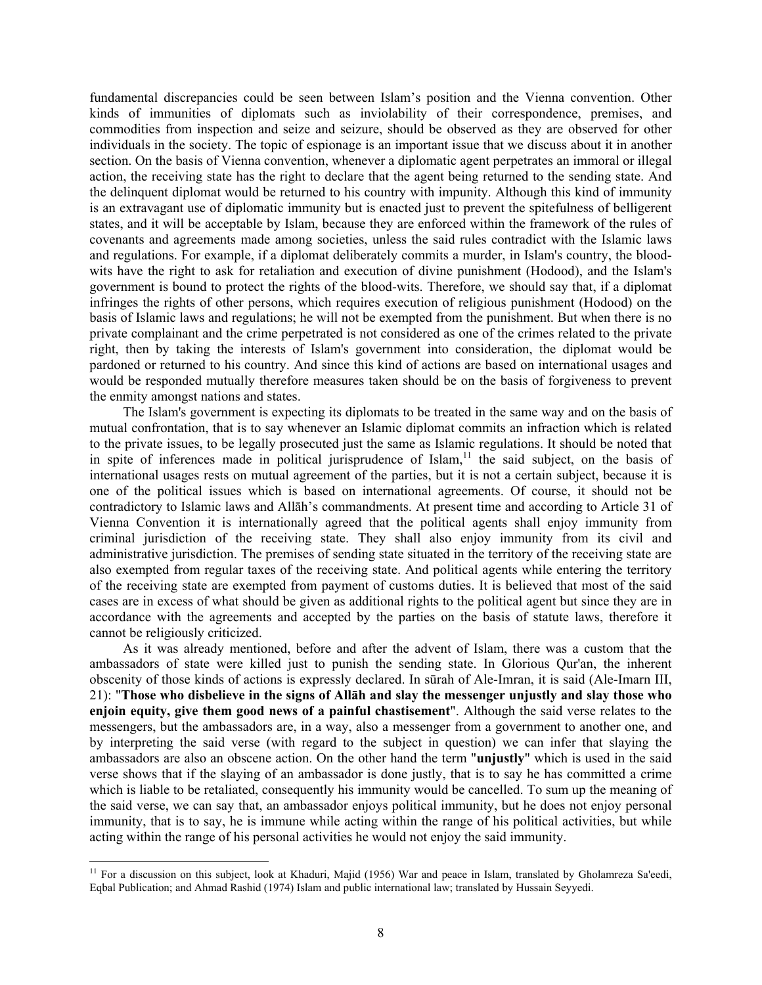fundamental discrepancies could be seen between Islam's position and the Vienna convention. Other kinds of immunities of diplomats such as inviolability of their correspondence, premises, and commodities from inspection and seize and seizure, should be observed as they are observed for other individuals in the society. The topic of espionage is an important issue that we discuss about it in another section. On the basis of Vienna convention, whenever a diplomatic agent perpetrates an immoral or illegal action, the receiving state has the right to declare that the agent being returned to the sending state. And the delinquent diplomat would be returned to his country with impunity. Although this kind of immunity is an extravagant use of diplomatic immunity but is enacted just to prevent the spitefulness of belligerent states, and it will be acceptable by Islam, because they are enforced within the framework of the rules of covenants and agreements made among societies, unless the said rules contradict with the Islamic laws and regulations. For example, if a diplomat deliberately commits a murder, in Islam's country, the bloodwits have the right to ask for retaliation and execution of divine punishment (Hodood), and the Islam's government is bound to protect the rights of the blood-wits. Therefore, we should say that, if a diplomat infringes the rights of other persons, which requires execution of religious punishment (Hodood) on the basis of Islamic laws and regulations; he will not be exempted from the punishment. But when there is no private complainant and the crime perpetrated is not considered as one of the crimes related to the private right, then by taking the interests of Islam's government into consideration, the diplomat would be pardoned or returned to his country. And since this kind of actions are based on international usages and would be responded mutually therefore measures taken should be on the basis of forgiveness to prevent the enmity amongst nations and states.

The Islam's government is expecting its diplomats to be treated in the same way and on the basis of mutual confrontation, that is to say whenever an Islamic diplomat commits an infraction which is related to the private issues, to be legally prosecuted just the same as Islamic regulations. It should be noted that in spite of inferences made in political jurisprudence of  $Islam<sub>1</sub><sup>11</sup>$  the said subject, on the basis of international usages rests on mutual agreement of the parties, but it is not a certain subject, because it is one of the political issues which is based on international agreements. Of course, it should not be contradictory to Islamic laws and Allāh's commandments. At present time and according to Article 31 of Vienna Convention it is internationally agreed that the political agents shall enjoy immunity from criminal jurisdiction of the receiving state. They shall also enjoy immunity from its civil and administrative jurisdiction. The premises of sending state situated in the territory of the receiving state are also exempted from regular taxes of the receiving state. And political agents while entering the territory of the receiving state are exempted from payment of customs duties. It is believed that most of the said cases are in excess of what should be given as additional rights to the political agent but since they are in accordance with the agreements and accepted by the parties on the basis of statute laws, therefore it cannot be religiously criticized.

As it was already mentioned, before and after the advent of Islam, there was a custom that the ambassadors of state were killed just to punish the sending state. In Glorious Qur'an, the inherent obscenity of those kinds of actions is expressly declared. In sūrah of Ale-Imran, it is said (Ale-Imarn III, 21): "**Those who disbelieve in the signs of Allāh and slay the messenger unjustly and slay those who enjoin equity, give them good news of a painful chastisement**". Although the said verse relates to the messengers, but the ambassadors are, in a way, also a messenger from a government to another one, and by interpreting the said verse (with regard to the subject in question) we can infer that slaying the ambassadors are also an obscene action. On the other hand the term "**unjustly**" which is used in the said verse shows that if the slaying of an ambassador is done justly, that is to say he has committed a crime which is liable to be retaliated, consequently his immunity would be cancelled. To sum up the meaning of the said verse, we can say that, an ambassador enjoys political immunity, but he does not enjoy personal immunity, that is to say, he is immune while acting within the range of his political activities, but while acting within the range of his personal activities he would not enjoy the said immunity.

<sup>&</sup>lt;sup>11</sup> For a discussion on this subject, look at Khaduri, Majid (1956) War and peace in Islam, translated by Gholamreza Sa'eedi, Eqbal Publication; and Ahmad Rashid (1974) Islam and public international law; translated by Hussain Seyyedi.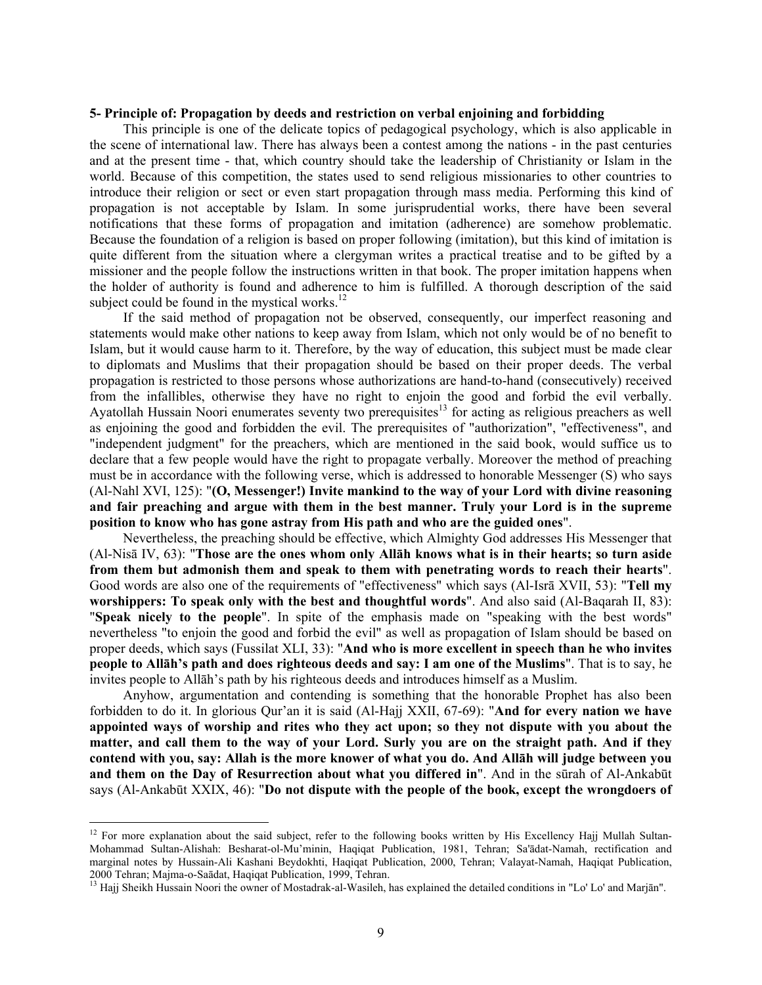#### **5- Principle of: Propagation by deeds and restriction on verbal enjoining and forbidding**

This principle is one of the delicate topics of pedagogical psychology, which is also applicable in the scene of international law. There has always been a contest among the nations - in the past centuries and at the present time - that, which country should take the leadership of Christianity or Islam in the world. Because of this competition, the states used to send religious missionaries to other countries to introduce their religion or sect or even start propagation through mass media. Performing this kind of propagation is not acceptable by Islam. In some jurisprudential works, there have been several notifications that these forms of propagation and imitation (adherence) are somehow problematic. Because the foundation of a religion is based on proper following (imitation), but this kind of imitation is quite different from the situation where a clergyman writes a practical treatise and to be gifted by a missioner and the people follow the instructions written in that book. The proper imitation happens when the holder of authority is found and adherence to him is fulfilled. A thorough description of the said subject could be found in the mystical works.<sup>12</sup>

If the said method of propagation not be observed, consequently, our imperfect reasoning and statements would make other nations to keep away from Islam, which not only would be of no benefit to Islam, but it would cause harm to it. Therefore, by the way of education, this subject must be made clear to diplomats and Muslims that their propagation should be based on their proper deeds. The verbal propagation is restricted to those persons whose authorizations are hand-to-hand (consecutively) received from the infallibles, otherwise they have no right to enjoin the good and forbid the evil verbally. Ayatollah Hussain Noori enumerates seventy two prerequisites<sup>13</sup> for acting as religious preachers as well as enjoining the good and forbidden the evil. The prerequisites of "authorization", "effectiveness", and "independent judgment" for the preachers, which are mentioned in the said book, would suffice us to declare that a few people would have the right to propagate verbally. Moreover the method of preaching must be in accordance with the following verse, which is addressed to honorable Messenger (S) who says (Al-Nahl XVI, 125): "**(O, Messenger!) Invite mankind to the way of your Lord with divine reasoning and fair preaching and argue with them in the best manner. Truly your Lord is in the supreme position to know who has gone astray from His path and who are the guided ones**".

Nevertheless, the preaching should be effective, which Almighty God addresses His Messenger that (Al-Nisā IV, 63): "**Those are the ones whom only Allāh knows what is in their hearts; so turn aside from them but admonish them and speak to them with penetrating words to reach their hearts**". Good words are also one of the requirements of "effectiveness" which says (Al-Isrā XVII, 53): "**Tell my worshippers: To speak only with the best and thoughtful words**". And also said (Al-Baqarah II, 83): "**Speak nicely to the people**". In spite of the emphasis made on "speaking with the best words" nevertheless "to enjoin the good and forbid the evil" as well as propagation of Islam should be based on proper deeds, which says (Fussilat XLI, 33): "**And who is more excellent in speech than he who invites people to Allāh's path and does righteous deeds and say: I am one of the Muslims**". That is to say, he invites people to Allāh's path by his righteous deeds and introduces himself as a Muslim.

Anyhow, argumentation and contending is something that the honorable Prophet has also been forbidden to do it. In glorious Qur'an it is said (Al-Hajj XXII, 67-69): "**And for every nation we have appointed ways of worship and rites who they act upon; so they not dispute with you about the matter, and call them to the way of your Lord. Surly you are on the straight path. And if they contend with you, say: Allah is the more knower of what you do. And Allāh will judge between you and them on the Day of Resurrection about what you differed in**". And in the sūrah of Al-Ankabūt says (Al-Ankabūt XXIX, 46): "**Do not dispute with the people of the book, except the wrongdoers of** 

 $12$  For more explanation about the said subject, refer to the following books written by His Excellency Hajj Mullah Sultan-Mohammad Sultan-Alishah: Besharat-ol-Mu'minin, Haqiqat Publication, 1981, Tehran; Sa'ādat-Namah, rectification and marginal notes by Hussain-Ali Kashani Beydokhti, Haqiqat Publication, 2000, Tehran; Valayat-Namah, Haqiqat Publication, 2000 Tehran; Majma-o-Saādat, Haqiqat Publication, 1999, Tehran.<br><sup>13</sup> Hajj Sheikh Hussain Noori the owner of Mostadrak-al-Wasileh, has explained the detailed conditions in "Lo' Lo' and Marjān".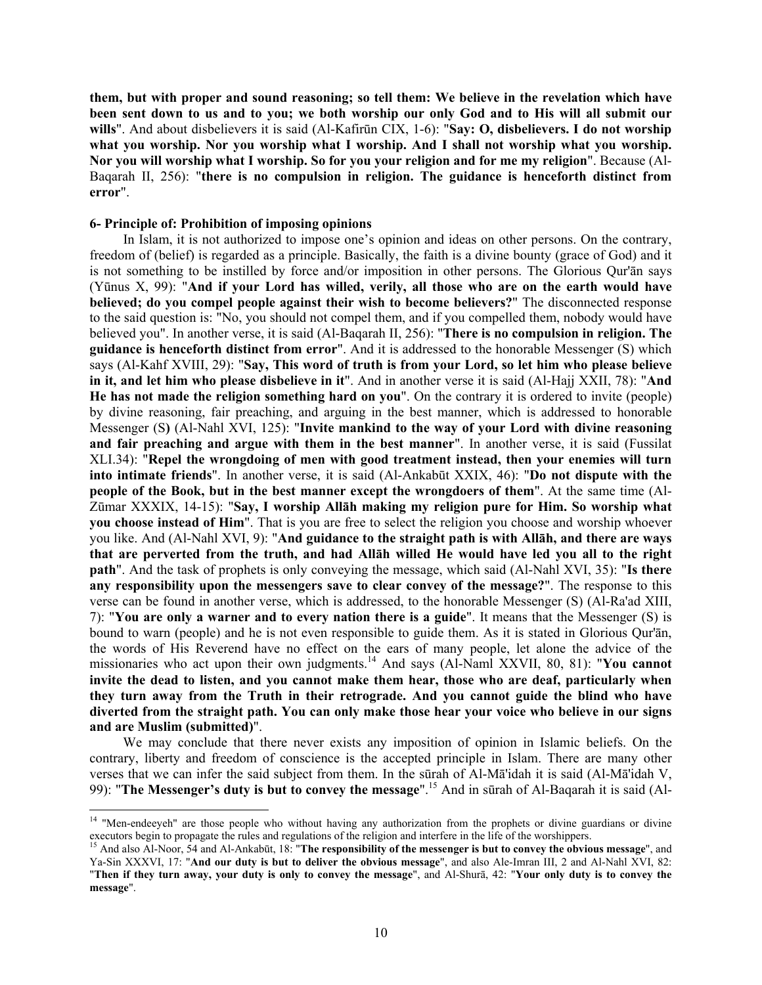**them, but with proper and sound reasoning; so tell them: We believe in the revelation which have been sent down to us and to you; we both worship our only God and to His will all submit our wills**". And about disbelievers it is said (Al-Kafirūn CIX, 1-6): "**Say: O, disbelievers. I do not worship what you worship. Nor you worship what I worship. And I shall not worship what you worship. Nor you will worship what I worship. So for you your religion and for me my religion**". Because (Al-Baqarah II, 256): "**there is no compulsion in religion. The guidance is henceforth distinct from error**".

#### **6- Principle of: Prohibition of imposing opinions**

 $\overline{a}$ 

In Islam, it is not authorized to impose one's opinion and ideas on other persons. On the contrary, freedom of (belief) is regarded as a principle. Basically, the faith is a divine bounty (grace of God) and it is not something to be instilled by force and/or imposition in other persons. The Glorious Qur'ān says (Yūnus X, 99): "**And if your Lord has willed, verily, all those who are on the earth would have believed; do you compel people against their wish to become believers?**" The disconnected response to the said question is: "No, you should not compel them, and if you compelled them, nobody would have believed you". In another verse, it is said (Al-Baqarah II, 256): "**There is no compulsion in religion. The guidance is henceforth distinct from error**". And it is addressed to the honorable Messenger (S) which says (Al-Kahf XVIII, 29): "**Say, This word of truth is from your Lord, so let him who please believe in it, and let him who please disbelieve in it**". And in another verse it is said (Al-Hajj XXII, 78): "**And He has not made the religion something hard on you**". On the contrary it is ordered to invite (people) by divine reasoning, fair preaching, and arguing in the best manner, which is addressed to honorable Messenger (S**)** (Al-Nahl XVI, 125): "**Invite mankind to the way of your Lord with divine reasoning and fair preaching and argue with them in the best manner**". In another verse, it is said (Fussilat XLI.34): "**Repel the wrongdoing of men with good treatment instead, then your enemies will turn into intimate friends**". In another verse, it is said (Al-Ankabūt XXIX, 46): "**Do not dispute with the people of the Book, but in the best manner except the wrongdoers of them**". At the same time (Al-Zūmar XXXIX, 14-15): "**Say, I worship Allāh making my religion pure for Him. So worship what you choose instead of Him**". That is you are free to select the religion you choose and worship whoever you like. And (Al-Nahl XVI, 9): "**And guidance to the straight path is with Allāh, and there are ways that are perverted from the truth, and had Allāh willed He would have led you all to the right path**". And the task of prophets is only conveying the message, which said (Al-Nahl XVI, 35): "**Is there any responsibility upon the messengers save to clear convey of the message?**". The response to this verse can be found in another verse, which is addressed, to the honorable Messenger (S) (Al-Ra'ad XIII, 7): "**You are only a warner and to every nation there is a guide**". It means that the Messenger (S) is bound to warn (people) and he is not even responsible to guide them. As it is stated in Glorious Qur'ān, the words of His Reverend have no effect on the ears of many people, let alone the advice of the missionaries who act upon their own judgments.14 And says (Al-Naml XXVII, 80, 81): "**You cannot invite the dead to listen, and you cannot make them hear, those who are deaf, particularly when they turn away from the Truth in their retrograde. And you cannot guide the blind who have diverted from the straight path. You can only make those hear your voice who believe in our signs and are Muslim (submitted)**".

We may conclude that there never exists any imposition of opinion in Islamic beliefs. On the contrary, liberty and freedom of conscience is the accepted principle in Islam. There are many other verses that we can infer the said subject from them. In the sūrah of Al-Mā'idah it is said (Al-Mā'idah V, 99): "**The Messenger's duty is but to convey the message**".15 And in sūrah of Al-Baqarah it is said (Al-

<sup>&</sup>lt;sup>14</sup> "Men-endeeyeh" are those people who without having any authorization from the prophets or divine guardians or divine executors begin to propagate the rules and regulations of the religion and interfere in the life of the worshippers.<br><sup>15</sup> And also Al-Noor, 54 and Al-Ankabūt, 18: "The responsibility of the messenger is but to convey the o

Ya-Sin XXXVI, 17: "**And our duty is but to deliver the obvious message**", and also Ale-Imran III, 2 and Al-Nahl XVI, 82: "**Then if they turn away, your duty is only to convey the message**", and Al-Shurā, 42: "**Your only duty is to convey the message**".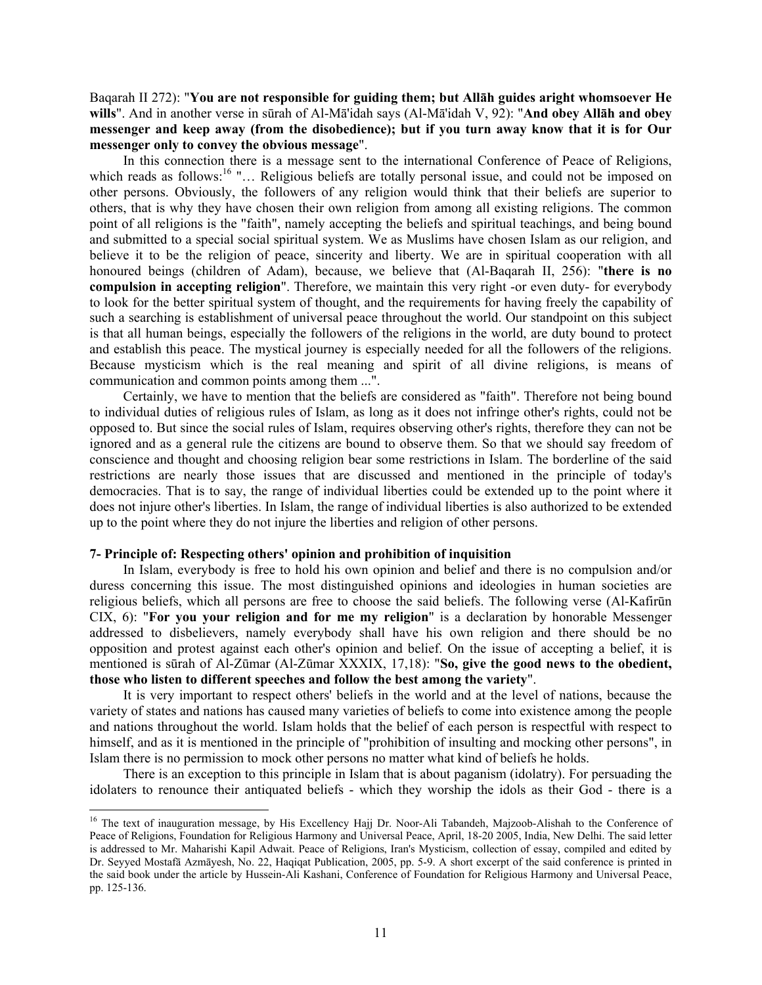Baqarah II 272): "**You are not responsible for guiding them; but Allāh guides aright whomsoever He wills**". And in another verse in sūrah of Al-Mā'idah says (Al-Mā'idah V, 92): "**And obey Allāh and obey messenger and keep away (from the disobedience); but if you turn away know that it is for Our messenger only to convey the obvious message**".

In this connection there is a message sent to the international Conference of Peace of Religions, which reads as follows:<sup>16</sup> "... Religious beliefs are totally personal issue, and could not be imposed on other persons. Obviously, the followers of any religion would think that their beliefs are superior to others, that is why they have chosen their own religion from among all existing religions. The common point of all religions is the "faith", namely accepting the beliefs and spiritual teachings, and being bound and submitted to a special social spiritual system. We as Muslims have chosen Islam as our religion, and believe it to be the religion of peace, sincerity and liberty. We are in spiritual cooperation with all honoured beings (children of Adam), because, we believe that (Al-Baqarah II, 256): "**there is no compulsion in accepting religion**". Therefore, we maintain this very right -or even duty- for everybody to look for the better spiritual system of thought, and the requirements for having freely the capability of such a searching is establishment of universal peace throughout the world. Our standpoint on this subject is that all human beings, especially the followers of the religions in the world, are duty bound to protect and establish this peace. The mystical journey is especially needed for all the followers of the religions. Because mysticism which is the real meaning and spirit of all divine religions, is means of communication and common points among them ...".

Certainly, we have to mention that the beliefs are considered as "faith". Therefore not being bound to individual duties of religious rules of Islam, as long as it does not infringe other's rights, could not be opposed to. But since the social rules of Islam, requires observing other's rights, therefore they can not be ignored and as a general rule the citizens are bound to observe them. So that we should say freedom of conscience and thought and choosing religion bear some restrictions in Islam. The borderline of the said restrictions are nearly those issues that are discussed and mentioned in the principle of today's democracies. That is to say, the range of individual liberties could be extended up to the point where it does not injure other's liberties. In Islam, the range of individual liberties is also authorized to be extended up to the point where they do not injure the liberties and religion of other persons.

## **7- Principle of: Respecting others' opinion and prohibition of inquisition**

 $\overline{a}$ 

In Islam, everybody is free to hold his own opinion and belief and there is no compulsion and/or duress concerning this issue. The most distinguished opinions and ideologies in human societies are religious beliefs, which all persons are free to choose the said beliefs. The following verse (Al-Kafirūn CIX, 6): "**For you your religion and for me my religion**" is a declaration by honorable Messenger addressed to disbelievers, namely everybody shall have his own religion and there should be no opposition and protest against each other's opinion and belief. On the issue of accepting a belief, it is mentioned is sūrah of Al-Zūmar (Al-Zūmar XXXIX, 17,18): "**So, give the good news to the obedient, those who listen to different speeches and follow the best among the variety**".

It is very important to respect others' beliefs in the world and at the level of nations, because the variety of states and nations has caused many varieties of beliefs to come into existence among the people and nations throughout the world. Islam holds that the belief of each person is respectful with respect to himself, and as it is mentioned in the principle of "prohibition of insulting and mocking other persons", in Islam there is no permission to mock other persons no matter what kind of beliefs he holds.

There is an exception to this principle in Islam that is about paganism (idolatry). For persuading the idolaters to renounce their antiquated beliefs - which they worship the idols as their God - there is a

<sup>&</sup>lt;sup>16</sup> The text of inauguration message, by His Excellency Hajj Dr. Noor-Ali Tabandeh, Majzoob-Alishah to the Conference of Peace of Religions, Foundation for Religious Harmony and Universal Peace, April, 18-20 2005, India, New Delhi. The said letter is addressed to Mr. Maharishi Kapil Adwait. Peace of Religions, Iran's Mysticism, collection of essay, compiled and edited by Dr. Seyyed Mostafā Azmāyesh, No. 22, Haqiqat Publication, 2005, pp. 5-9. A short excerpt of the said conference is printed in the said book under the article by Hussein-Ali Kashani, Conference of Foundation for Religious Harmony and Universal Peace, pp. 125-136.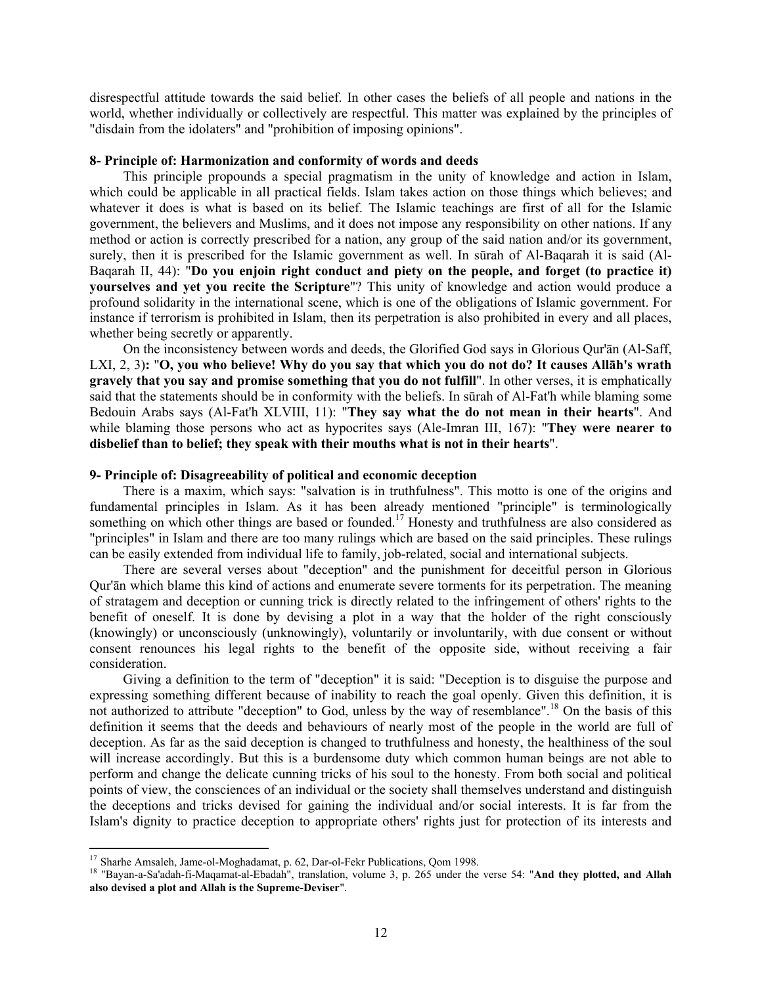disrespectful attitude towards the said belief. In other cases the beliefs of all people and nations in the world, whether individually or collectively are respectful. This matter was explained by the principles of "disdain from the idolaters" and "prohibition of imposing opinions".

## **8- Principle of: Harmonization and conformity of words and deeds**

This principle propounds a special pragmatism in the unity of knowledge and action in Islam, which could be applicable in all practical fields. Islam takes action on those things which believes; and whatever it does is what is based on its belief. The Islamic teachings are first of all for the Islamic government, the believers and Muslims, and it does not impose any responsibility on other nations. If any method or action is correctly prescribed for a nation, any group of the said nation and/or its government, surely, then it is prescribed for the Islamic government as well. In sūrah of Al-Baqarah it is said (Al-Baqarah II, 44): "**Do you enjoin right conduct and piety on the people, and forget (to practice it) yourselves and yet you recite the Scripture**"? This unity of knowledge and action would produce a profound solidarity in the international scene, which is one of the obligations of Islamic government. For instance if terrorism is prohibited in Islam, then its perpetration is also prohibited in every and all places, whether being secretly or apparently.

On the inconsistency between words and deeds, the Glorified God says in Glorious Qur'ān (Al-Saff, LXI, 2, 3)**:** "**O, you who believe! Why do you say that which you do not do? It causes Allāh's wrath gravely that you say and promise something that you do not fulfill**". In other verses, it is emphatically said that the statements should be in conformity with the beliefs. In sūrah of Al-Fat'h while blaming some Bedouin Arabs says (Al-Fat'h XLVIII, 11): "**They say what the do not mean in their hearts**". And while blaming those persons who act as hypocrites says (Ale-Imran III, 167): "**They were nearer to disbelief than to belief; they speak with their mouths what is not in their hearts**".

## **9- Principle of: Disagreeability of political and economic deception**

There is a maxim, which says: "salvation is in truthfulness". This motto is one of the origins and fundamental principles in Islam. As it has been already mentioned "principle" is terminologically something on which other things are based or founded.<sup>17</sup> Honesty and truthfulness are also considered as "principles" in Islam and there are too many rulings which are based on the said principles. These rulings can be easily extended from individual life to family, job-related, social and international subjects.

There are several verses about "deception" and the punishment for deceitful person in Glorious Qur'ān which blame this kind of actions and enumerate severe torments for its perpetration. The meaning of stratagem and deception or cunning trick is directly related to the infringement of others' rights to the benefit of oneself. It is done by devising a plot in a way that the holder of the right consciously (knowingly) or unconsciously (unknowingly), voluntarily or involuntarily, with due consent or without consent renounces his legal rights to the benefit of the opposite side, without receiving a fair consideration.

Giving a definition to the term of "deception" it is said: "Deception is to disguise the purpose and expressing something different because of inability to reach the goal openly. Given this definition, it is not authorized to attribute "deception" to God, unless by the way of resemblance".<sup>18</sup> On the basis of this definition it seems that the deeds and behaviours of nearly most of the people in the world are full of deception. As far as the said deception is changed to truthfulness and honesty, the healthiness of the soul will increase accordingly. But this is a burdensome duty which common human beings are not able to perform and change the delicate cunning tricks of his soul to the honesty. From both social and political points of view, the consciences of an individual or the society shall themselves understand and distinguish the deceptions and tricks devised for gaining the individual and/or social interests. It is far from the Islam's dignity to practice deception to appropriate others' rights just for protection of its interests and

<sup>&</sup>lt;sup>17</sup> Sharhe Amsaleh, Jame-ol-Moghadamat, p. 62, Dar-ol-Fekr Publications, Qom 1998.<br><sup>18</sup> "Bayan-a-Sa'adah-fi-Maqamat-al-Ebadah", translation, volume 3, p. 265 under the verse 54: "**And they plotted, and Allah also devised a plot and Allah is the Supreme-Deviser**".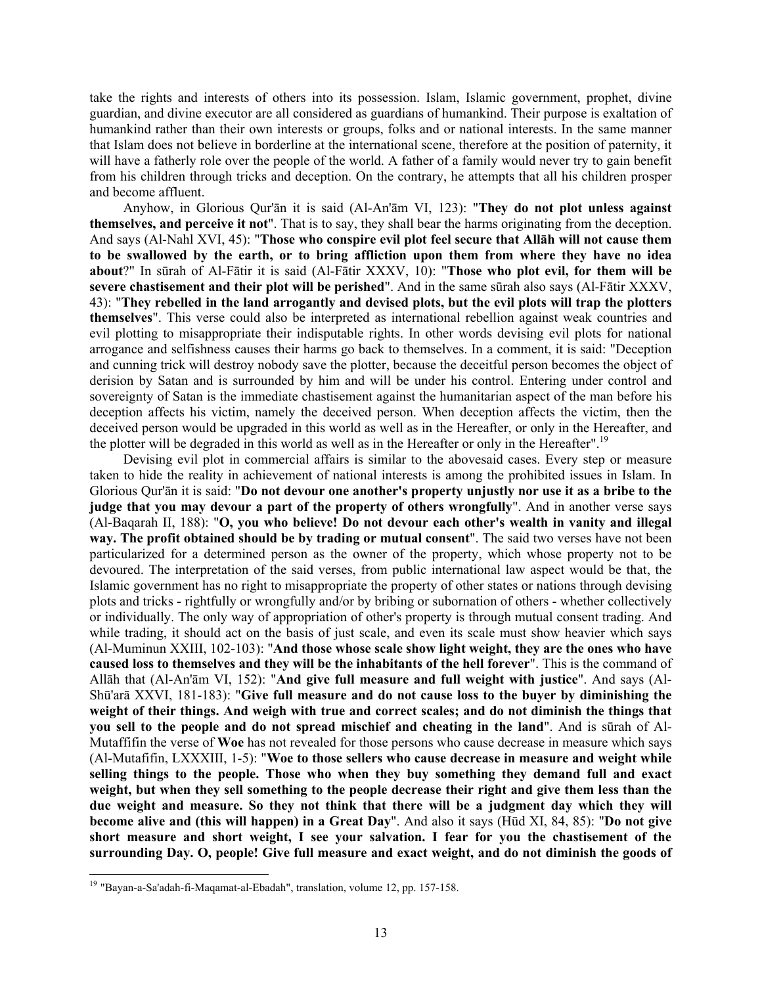take the rights and interests of others into its possession. Islam, Islamic government, prophet, divine guardian, and divine executor are all considered as guardians of humankind. Their purpose is exaltation of humankind rather than their own interests or groups, folks and or national interests. In the same manner that Islam does not believe in borderline at the international scene, therefore at the position of paternity, it will have a fatherly role over the people of the world. A father of a family would never try to gain benefit from his children through tricks and deception. On the contrary, he attempts that all his children prosper and become affluent.

Anyhow, in Glorious Qur'ān it is said (Al-An'ām VI, 123): "**They do not plot unless against themselves, and perceive it not**". That is to say, they shall bear the harms originating from the deception. And says (Al-Nahl XVI, 45): "**Those who conspire evil plot feel secure that Allāh will not cause them to be swallowed by the earth, or to bring affliction upon them from where they have no idea about**?" In sūrah of Al-Fātir it is said (Al-Fātir XXXV, 10): "**Those who plot evil, for them will be severe chastisement and their plot will be perished**". And in the same sūrah also says (Al-Fātir XXXV, 43): "**They rebelled in the land arrogantly and devised plots, but the evil plots will trap the plotters themselves**". This verse could also be interpreted as international rebellion against weak countries and evil plotting to misappropriate their indisputable rights. In other words devising evil plots for national arrogance and selfishness causes their harms go back to themselves. In a comment, it is said: "Deception and cunning trick will destroy nobody save the plotter, because the deceitful person becomes the object of derision by Satan and is surrounded by him and will be under his control. Entering under control and sovereignty of Satan is the immediate chastisement against the humanitarian aspect of the man before his deception affects his victim, namely the deceived person. When deception affects the victim, then the deceived person would be upgraded in this world as well as in the Hereafter, or only in the Hereafter, and the plotter will be degraded in this world as well as in the Hereafter or only in the Hereafter".<sup>19</sup>

Devising evil plot in commercial affairs is similar to the abovesaid cases. Every step or measure taken to hide the reality in achievement of national interests is among the prohibited issues in Islam. In Glorious Qur'ān it is said: "**Do not devour one another's property unjustly nor use it as a bribe to the judge that you may devour a part of the property of others wrongfully**". And in another verse says (Al-Baqarah II, 188): "**O, you who believe! Do not devour each other's wealth in vanity and illegal way. The profit obtained should be by trading or mutual consent**". The said two verses have not been particularized for a determined person as the owner of the property, which whose property not to be devoured. The interpretation of the said verses, from public international law aspect would be that, the Islamic government has no right to misappropriate the property of other states or nations through devising plots and tricks - rightfully or wrongfully and/or by bribing or subornation of others - whether collectively or individually. The only way of appropriation of other's property is through mutual consent trading. And while trading, it should act on the basis of just scale, and even its scale must show heavier which says (Al-Muminun XXIII, 102-103): "**And those whose scale show light weight, they are the ones who have caused loss to themselves and they will be the inhabitants of the hell forever**". This is the command of Allāh that (Al-An'ām VI, 152): "**And give full measure and full weight with justice**". And says (Al-Shū'arā XXVI, 181-183): "**Give full measure and do not cause loss to the buyer by diminishing the weight of their things. And weigh with true and correct scales; and do not diminish the things that you sell to the people and do not spread mischief and cheating in the land**". And is sūrah of Al-Mutaffifin the verse of **Woe** has not revealed for those persons who cause decrease in measure which says (Al-Mutafifin, LXXXIII, 1-5): "**Woe to those sellers who cause decrease in measure and weight while selling things to the people. Those who when they buy something they demand full and exact weight, but when they sell something to the people decrease their right and give them less than the due weight and measure. So they not think that there will be a judgment day which they will become alive and (this will happen) in a Great Day**". And also it says (Hūd XI, 84, 85): "**Do not give short measure and short weight, I see your salvation. I fear for you the chastisement of the surrounding Day. O, people! Give full measure and exact weight, and do not diminish the goods of** 

<sup>&</sup>lt;sup>19</sup> "Bayan-a-Sa'adah-fi-Maqamat-al-Ebadah", translation, volume 12, pp. 157-158.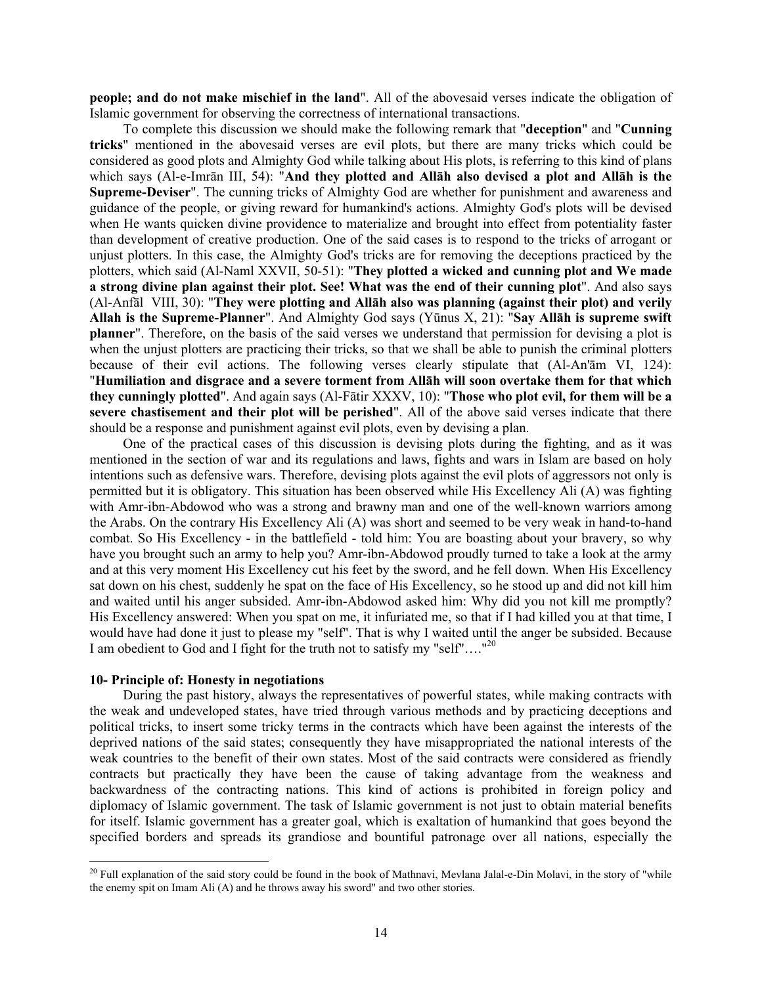**people; and do not make mischief in the land**". All of the abovesaid verses indicate the obligation of Islamic government for observing the correctness of international transactions.

To complete this discussion we should make the following remark that "**deception**" and "**Cunning tricks**" mentioned in the abovesaid verses are evil plots, but there are many tricks which could be considered as good plots and Almighty God while talking about His plots, is referring to this kind of plans which says (Al-e-Imrān III, 54): "**And they plotted and Allāh also devised a plot and Allāh is the Supreme-Deviser**". The cunning tricks of Almighty God are whether for punishment and awareness and guidance of the people, or giving reward for humankind's actions. Almighty God's plots will be devised when He wants quicken divine providence to materialize and brought into effect from potentiality faster than development of creative production. One of the said cases is to respond to the tricks of arrogant or unjust plotters. In this case, the Almighty God's tricks are for removing the deceptions practiced by the plotters, which said (Al-Naml XXVII, 50-51): "**They plotted a wicked and cunning plot and We made a strong divine plan against their plot. See! What was the end of their cunning plot**". And also says (Al-Anfāl VIII, 30): "**They were plotting and Allāh also was planning (against their plot) and verily Allah is the Supreme-Planner**". And Almighty God says (Yūnus X, 21): "**Say Allāh is supreme swift planner**". Therefore, on the basis of the said verses we understand that permission for devising a plot is when the unjust plotters are practicing their tricks, so that we shall be able to punish the criminal plotters because of their evil actions. The following verses clearly stipulate that (Al-An'ām VI, 124): "**Humiliation and disgrace and a severe torment from Allāh will soon overtake them for that which they cunningly plotted**". And again says (Al-Fātir XXXV, 10): "**Those who plot evil, for them will be a severe chastisement and their plot will be perished**". All of the above said verses indicate that there should be a response and punishment against evil plots, even by devising a plan.

One of the practical cases of this discussion is devising plots during the fighting, and as it was mentioned in the section of war and its regulations and laws, fights and wars in Islam are based on holy intentions such as defensive wars. Therefore, devising plots against the evil plots of aggressors not only is permitted but it is obligatory. This situation has been observed while His Excellency Ali (A) was fighting with Amr-ibn-Abdowod who was a strong and brawny man and one of the well-known warriors among the Arabs. On the contrary His Excellency Ali (A) was short and seemed to be very weak in hand-to-hand combat. So His Excellency - in the battlefield - told him: You are boasting about your bravery, so why have you brought such an army to help you? Amr-ibn-Abdowod proudly turned to take a look at the army and at this very moment His Excellency cut his feet by the sword, and he fell down. When His Excellency sat down on his chest, suddenly he spat on the face of His Excellency, so he stood up and did not kill him and waited until his anger subsided. Amr-ibn-Abdowod asked him: Why did you not kill me promptly? His Excellency answered: When you spat on me, it infuriated me, so that if I had killed you at that time, I would have had done it just to please my "self". That is why I waited until the anger be subsided. Because I am obedient to God and I fight for the truth not to satisfy my "self"…."20

#### **10- Principle of: Honesty in negotiations**

 $\overline{a}$ 

During the past history, always the representatives of powerful states, while making contracts with the weak and undeveloped states, have tried through various methods and by practicing deceptions and political tricks, to insert some tricky terms in the contracts which have been against the interests of the deprived nations of the said states; consequently they have misappropriated the national interests of the weak countries to the benefit of their own states. Most of the said contracts were considered as friendly contracts but practically they have been the cause of taking advantage from the weakness and backwardness of the contracting nations. This kind of actions is prohibited in foreign policy and diplomacy of Islamic government. The task of Islamic government is not just to obtain material benefits for itself. Islamic government has a greater goal, which is exaltation of humankind that goes beyond the specified borders and spreads its grandiose and bountiful patronage over all nations, especially the

<sup>&</sup>lt;sup>20</sup> Full explanation of the said story could be found in the book of Mathnavi, Mevlana Jalal-e-Din Molavi, in the story of "while the enemy spit on Imam Ali (A) and he throws away his sword" and two other stories.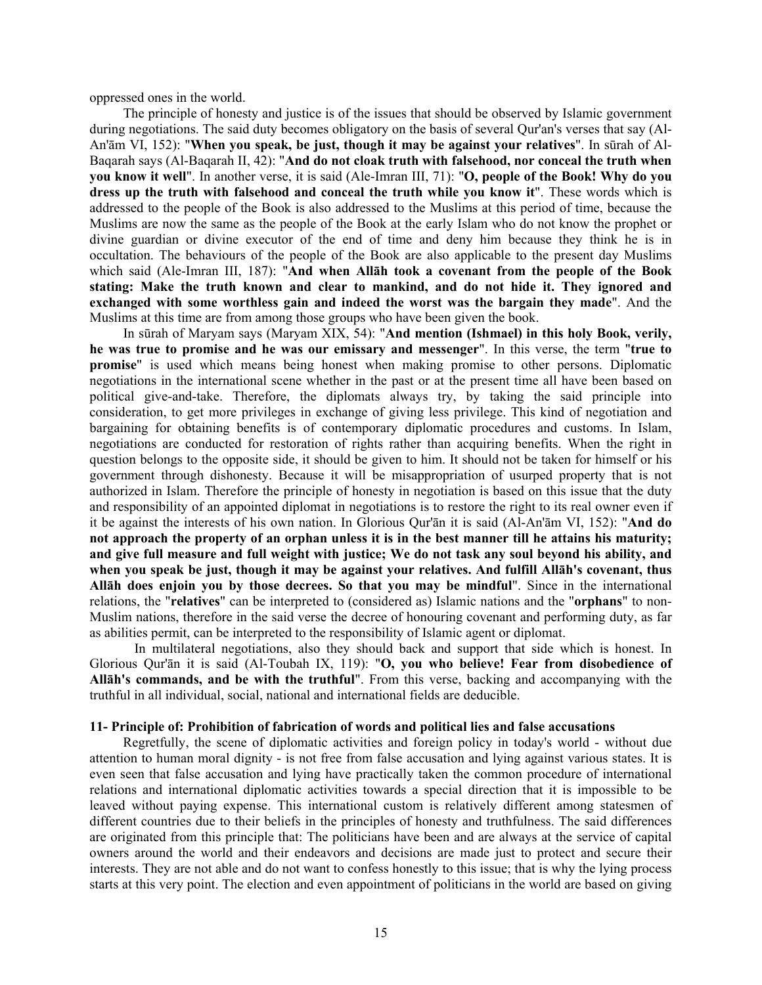oppressed ones in the world.

The principle of honesty and justice is of the issues that should be observed by Islamic government during negotiations. The said duty becomes obligatory on the basis of several Qur'an's verses that say (Al-An'ām VI, 152): "**When you speak, be just, though it may be against your relatives**". In sūrah of Al-Baqarah says (Al-Baqarah II, 42): "**And do not cloak truth with falsehood, nor conceal the truth when you know it well**". In another verse, it is said (Ale-Imran III, 71): "**O, people of the Book! Why do you dress up the truth with falsehood and conceal the truth while you know it**". These words which is addressed to the people of the Book is also addressed to the Muslims at this period of time, because the Muslims are now the same as the people of the Book at the early Islam who do not know the prophet or divine guardian or divine executor of the end of time and deny him because they think he is in occultation. The behaviours of the people of the Book are also applicable to the present day Muslims which said (Ale-Imran III, 187): "**And when Allāh took a covenant from the people of the Book stating: Make the truth known and clear to mankind, and do not hide it. They ignored and exchanged with some worthless gain and indeed the worst was the bargain they made**". And the Muslims at this time are from among those groups who have been given the book.

In sūrah of Maryam says (Maryam XIX, 54): "**And mention (Ishmael) in this holy Book, verily, he was true to promise and he was our emissary and messenger**". In this verse, the term "**true to promise**" is used which means being honest when making promise to other persons. Diplomatic negotiations in the international scene whether in the past or at the present time all have been based on political give-and-take. Therefore, the diplomats always try, by taking the said principle into consideration, to get more privileges in exchange of giving less privilege. This kind of negotiation and bargaining for obtaining benefits is of contemporary diplomatic procedures and customs. In Islam, negotiations are conducted for restoration of rights rather than acquiring benefits. When the right in question belongs to the opposite side, it should be given to him. It should not be taken for himself or his government through dishonesty. Because it will be misappropriation of usurped property that is not authorized in Islam. Therefore the principle of honesty in negotiation is based on this issue that the duty and responsibility of an appointed diplomat in negotiations is to restore the right to its real owner even if it be against the interests of his own nation. In Glorious Qur'ān it is said (Al-An'ām VI, 152): "**And do not approach the property of an orphan unless it is in the best manner till he attains his maturity; and give full measure and full weight with justice; We do not task any soul beyond his ability, and when you speak be just, though it may be against your relatives. And fulfill Allāh's covenant, thus Allāh does enjoin you by those decrees. So that you may be mindful**". Since in the international relations, the "**relatives**" can be interpreted to (considered as) Islamic nations and the "**orphans**" to non-Muslim nations, therefore in the said verse the decree of honouring covenant and performing duty, as far as abilities permit, can be interpreted to the responsibility of Islamic agent or diplomat.

 In multilateral negotiations, also they should back and support that side which is honest. In Glorious Qur'ān it is said (Al-Toubah IX, 119): "**O, you who believe! Fear from disobedience of Allāh's commands, and be with the truthful**". From this verse, backing and accompanying with the truthful in all individual, social, national and international fields are deducible.

#### **11- Principle of: Prohibition of fabrication of words and political lies and false accusations**

Regretfully, the scene of diplomatic activities and foreign policy in today's world - without due attention to human moral dignity - is not free from false accusation and lying against various states. It is even seen that false accusation and lying have practically taken the common procedure of international relations and international diplomatic activities towards a special direction that it is impossible to be leaved without paying expense. This international custom is relatively different among statesmen of different countries due to their beliefs in the principles of honesty and truthfulness. The said differences are originated from this principle that: The politicians have been and are always at the service of capital owners around the world and their endeavors and decisions are made just to protect and secure their interests. They are not able and do not want to confess honestly to this issue; that is why the lying process starts at this very point. The election and even appointment of politicians in the world are based on giving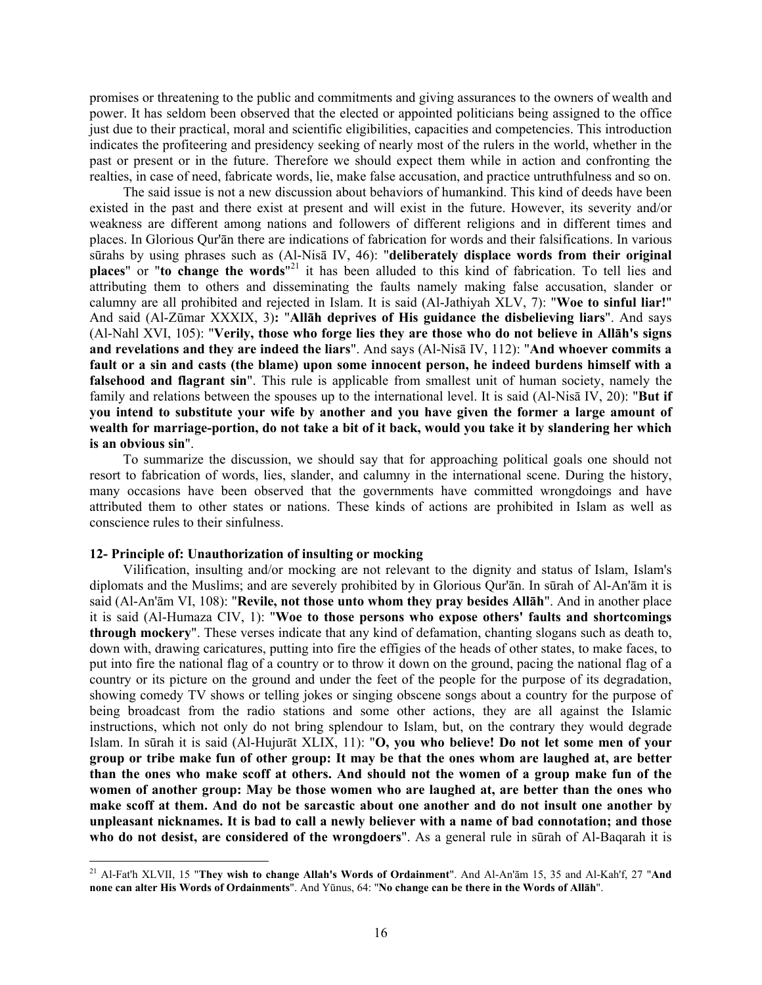promises or threatening to the public and commitments and giving assurances to the owners of wealth and power. It has seldom been observed that the elected or appointed politicians being assigned to the office just due to their practical, moral and scientific eligibilities, capacities and competencies. This introduction indicates the profiteering and presidency seeking of nearly most of the rulers in the world, whether in the past or present or in the future. Therefore we should expect them while in action and confronting the realties, in case of need, fabricate words, lie, make false accusation, and practice untruthfulness and so on.

The said issue is not a new discussion about behaviors of humankind. This kind of deeds have been existed in the past and there exist at present and will exist in the future. However, its severity and/or weakness are different among nations and followers of different religions and in different times and places. In Glorious Qur'ān there are indications of fabrication for words and their falsifications. In various sūrahs by using phrases such as (Al-Nisā IV, 46): "**deliberately displace words from their original places**" or "**to change the words**" 21 it has been alluded to this kind of fabrication. To tell lies and attributing them to others and disseminating the faults namely making false accusation, slander or calumny are all prohibited and rejected in Islam. It is said (Al-Jathiyah XLV, 7): "**Woe to sinful liar!**" And said (Al-Zūmar XXXIX, 3)**:** "**Allāh deprives of His guidance the disbelieving liars**". And says (Al-Nahl XVI, 105): "**Verily, those who forge lies they are those who do not believe in Allāh's signs and revelations and they are indeed the liars**". And says (Al-Nisā IV, 112): "**And whoever commits a fault or a sin and casts (the blame) upon some innocent person, he indeed burdens himself with a falsehood and flagrant sin**". This rule is applicable from smallest unit of human society, namely the family and relations between the spouses up to the international level. It is said (Al-Nisā IV, 20): "**But if you intend to substitute your wife by another and you have given the former a large amount of wealth for marriage-portion, do not take a bit of it back, would you take it by slandering her which is an obvious sin**".

To summarize the discussion, we should say that for approaching political goals one should not resort to fabrication of words, lies, slander, and calumny in the international scene. During the history, many occasions have been observed that the governments have committed wrongdoings and have attributed them to other states or nations. These kinds of actions are prohibited in Islam as well as conscience rules to their sinfulness.

## **12- Principle of: Unauthorization of insulting or mocking**

 $\overline{a}$ 

Vilification, insulting and/or mocking are not relevant to the dignity and status of Islam, Islam's diplomats and the Muslims; and are severely prohibited by in Glorious Qur'ān. In sūrah of Al-An'ām it is said (Al-An'ām VI, 108): "**Revile, not those unto whom they pray besides Allāh**". And in another place it is said (Al-Humaza CIV, 1): "**Woe to those persons who expose others' faults and shortcomings through mockery**". These verses indicate that any kind of defamation, chanting slogans such as death to, down with, drawing caricatures, putting into fire the effigies of the heads of other states, to make faces, to put into fire the national flag of a country or to throw it down on the ground, pacing the national flag of a country or its picture on the ground and under the feet of the people for the purpose of its degradation, showing comedy TV shows or telling jokes or singing obscene songs about a country for the purpose of being broadcast from the radio stations and some other actions, they are all against the Islamic instructions, which not only do not bring splendour to Islam, but, on the contrary they would degrade Islam. In sūrah it is said (Al-Hujurāt XLIX, 11): "**O, you who believe! Do not let some men of your group or tribe make fun of other group: It may be that the ones whom are laughed at, are better than the ones who make scoff at others. And should not the women of a group make fun of the women of another group: May be those women who are laughed at, are better than the ones who make scoff at them. And do not be sarcastic about one another and do not insult one another by unpleasant nicknames. It is bad to call a newly believer with a name of bad connotation; and those who do not desist, are considered of the wrongdoers**". As a general rule in sūrah of Al-Baqarah it is

<sup>21</sup> Al-Fat'h XLVII, 15 "**They wish to change Allah's Words of Ordainment**". And Al-An'ām 15, 35 and Al-Kah'f, 27 "**And none can alter His Words of Ordainments**". And Yūnus, 64: "**No change can be there in the Words of Allāh**".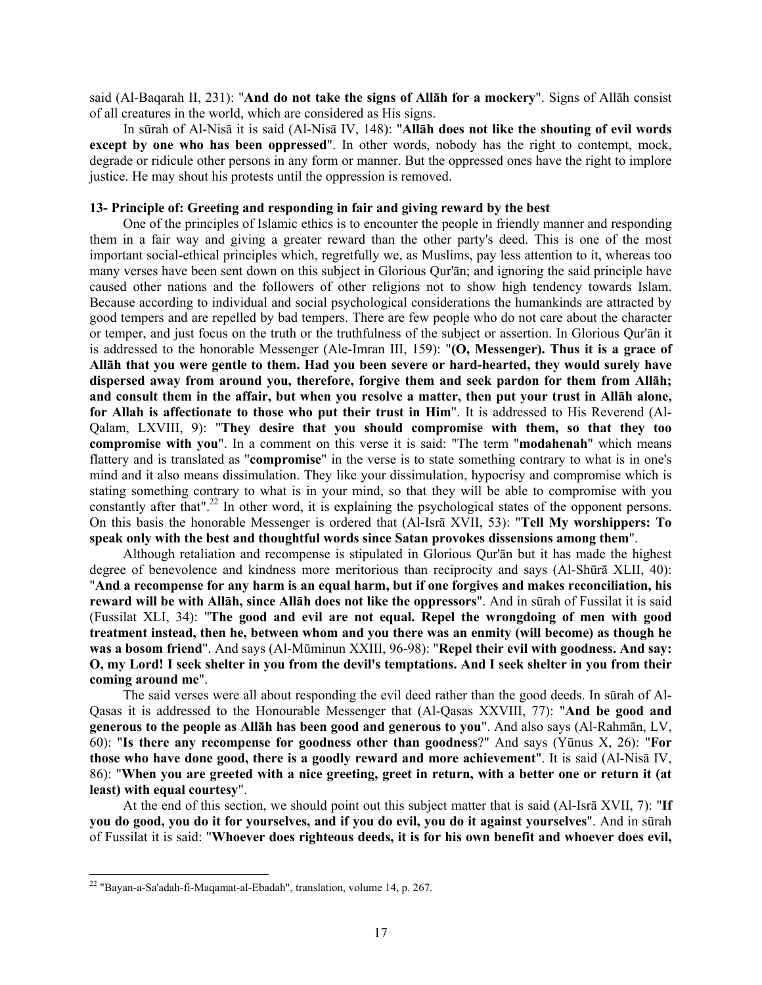said (Al-Baqarah II, 231): "**And do not take the signs of Allāh for a mockery**". Signs of Allāh consist of all creatures in the world, which are considered as His signs.

In sūrah of Al-Nisā it is said (Al-Nisā IV, 148): "**Allāh does not like the shouting of evil words except by one who has been oppressed**". In other words, nobody has the right to contempt, mock, degrade or ridicule other persons in any form or manner. But the oppressed ones have the right to implore justice. He may shout his protests until the oppression is removed.

## **13- Principle of: Greeting and responding in fair and giving reward by the best**

One of the principles of Islamic ethics is to encounter the people in friendly manner and responding them in a fair way and giving a greater reward than the other party's deed. This is one of the most important social-ethical principles which, regretfully we, as Muslims, pay less attention to it, whereas too many verses have been sent down on this subject in Glorious Qur'ān; and ignoring the said principle have caused other nations and the followers of other religions not to show high tendency towards Islam. Because according to individual and social psychological considerations the humankinds are attracted by good tempers and are repelled by bad tempers. There are few people who do not care about the character or temper, and just focus on the truth or the truthfulness of the subject or assertion. In Glorious Qur'ān it is addressed to the honorable Messenger (Ale-Imran III, 159): "**(O, Messenger). Thus it is a grace of Allāh that you were gentle to them. Had you been severe or hard-hearted, they would surely have dispersed away from around you, therefore, forgive them and seek pardon for them from Allāh; and consult them in the affair, but when you resolve a matter, then put your trust in Allāh alone, for Allah is affectionate to those who put their trust in Him**". It is addressed to His Reverend (Al-Qalam, LXVIII, 9): "**They desire that you should compromise with them, so that they too compromise with you**". In a comment on this verse it is said: "The term "**modahenah**" which means flattery and is translated as "**compromise**" in the verse is to state something contrary to what is in one's mind and it also means dissimulation. They like your dissimulation, hypocrisy and compromise which is stating something contrary to what is in your mind, so that they will be able to compromise with you constantly after that".<sup>22</sup> In other word, it is explaining the psychological states of the opponent persons. On this basis the honorable Messenger is ordered that (Al-Isrā XVII, 53): "**Tell My worshippers: To speak only with the best and thoughtful words since Satan provokes dissensions among them**".

Although retaliation and recompense is stipulated in Glorious Qur'ān but it has made the highest degree of benevolence and kindness more meritorious than reciprocity and says (Al-Shūrā XLII, 40): "**And a recompense for any harm is an equal harm, but if one forgives and makes reconciliation, his reward will be with Allāh, since Allāh does not like the oppressors**". And in sūrah of Fussilat it is said (Fussilat XLI, 34): "**The good and evil are not equal. Repel the wrongdoing of men with good treatment instead, then he, between whom and you there was an enmity (will become) as though he was a bosom friend**". And says (Al-Mūminun XXIII, 96-98): "**Repel their evil with goodness. And say: O, my Lord! I seek shelter in you from the devil's temptations. And I seek shelter in you from their coming around me**".

The said verses were all about responding the evil deed rather than the good deeds. In sūrah of Al-Qasas it is addressed to the Honourable Messenger that (Al-Qasas XXVIII, 77): "**And be good and generous to the people as Allāh has been good and generous to you**". And also says (Al-Rahmān, LV, 60): "**Is there any recompense for goodness other than goodness**?" And says (Yūnus X, 26): "**For those who have done good, there is a goodly reward and more achievement**". It is said (Al-Nisā IV, 86): "**When you are greeted with a nice greeting, greet in return, with a better one or return it (at least) with equal courtesy**".

At the end of this section, we should point out this subject matter that is said (Al-Isrā XVII, 7): "**If you do good, you do it for yourselves, and if you do evil, you do it against yourselves**". And in sūrah of Fussilat it is said: "**Whoever does righteous deeds, it is for his own benefit and whoever does evil,** 

 $22$  "Bayan-a-Sa'adah-fi-Maqamat-al-Ebadah", translation, volume 14, p. 267.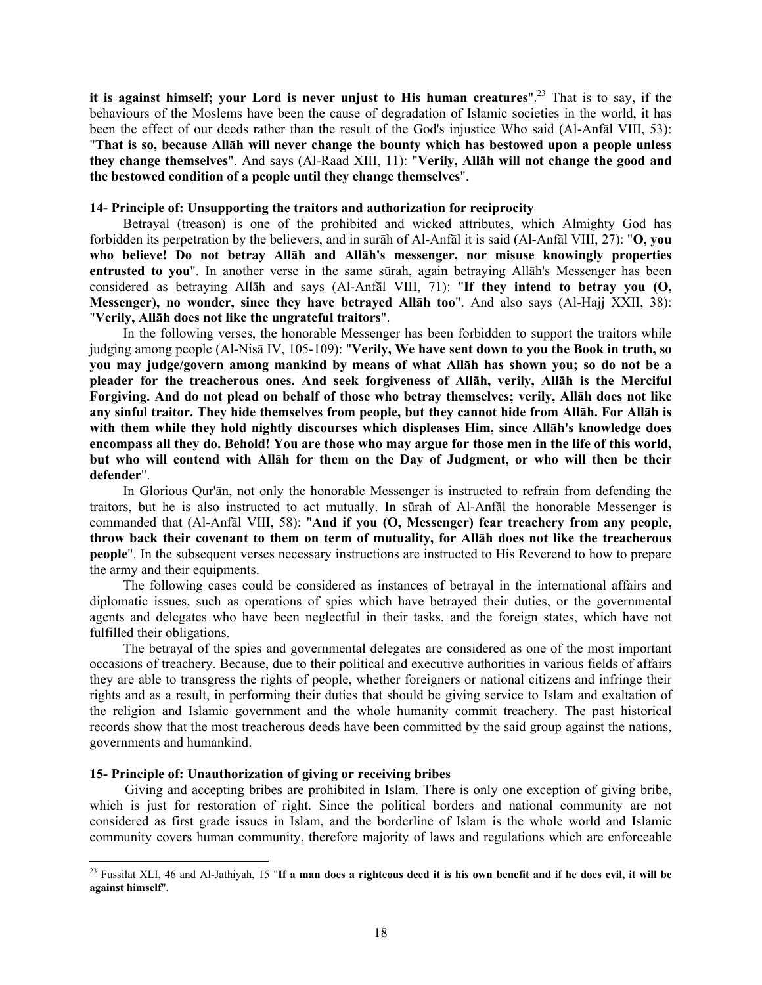it is against himself; your Lord is never unjust to His human creatures".<sup>23</sup> That is to say, if the behaviours of the Moslems have been the cause of degradation of Islamic societies in the world, it has been the effect of our deeds rather than the result of the God's injustice Who said (Al-Anfāl VIII, 53): "**That is so, because Allāh will never change the bounty which has bestowed upon a people unless they change themselves**". And says (Al-Raad XIII, 11): "**Verily, Allāh will not change the good and the bestowed condition of a people until they change themselves**".

## **14- Principle of: Unsupporting the traitors and authorization for reciprocity**

Betrayal (treason) is one of the prohibited and wicked attributes, which Almighty God has forbidden its perpetration by the believers, and in surāh of Al-Anfāl it is said (Al-Anfāl VIII, 27): "**O, you who believe! Do not betray Allāh and Allāh's messenger, nor misuse knowingly properties entrusted to you**". In another verse in the same sūrah, again betraying Allāh's Messenger has been considered as betraying Allāh and says (Al-Anfāl VIII, 71): "**If they intend to betray you (O, Messenger), no wonder, since they have betrayed Allāh too**". And also says (Al-Hajj XXII, 38): "**Verily, Allāh does not like the ungrateful traitors**".

In the following verses, the honorable Messenger has been forbidden to support the traitors while judging among people (Al-Nisā IV, 105-109): "**Verily, We have sent down to you the Book in truth, so you may judge/govern among mankind by means of what Allāh has shown you; so do not be a pleader for the treacherous ones. And seek forgiveness of Allāh, verily, Allāh is the Merciful Forgiving. And do not plead on behalf of those who betray themselves; verily, Allāh does not like any sinful traitor. They hide themselves from people, but they cannot hide from Allāh. For Allāh is with them while they hold nightly discourses which displeases Him, since Allāh's knowledge does encompass all they do. Behold! You are those who may argue for those men in the life of this world, but who will contend with Allāh for them on the Day of Judgment, or who will then be their defender**".

In Glorious Qur'ān, not only the honorable Messenger is instructed to refrain from defending the traitors, but he is also instructed to act mutually. In sūrah of Al-Anfāl the honorable Messenger is commanded that (Al-Anfāl VIII, 58): "**And if you (O, Messenger) fear treachery from any people, throw back their covenant to them on term of mutuality, for Allāh does not like the treacherous people**". In the subsequent verses necessary instructions are instructed to His Reverend to how to prepare the army and their equipments.

The following cases could be considered as instances of betrayal in the international affairs and diplomatic issues, such as operations of spies which have betrayed their duties, or the governmental agents and delegates who have been neglectful in their tasks, and the foreign states, which have not fulfilled their obligations.

The betrayal of the spies and governmental delegates are considered as one of the most important occasions of treachery. Because, due to their political and executive authorities in various fields of affairs they are able to transgress the rights of people, whether foreigners or national citizens and infringe their rights and as a result, in performing their duties that should be giving service to Islam and exaltation of the religion and Islamic government and the whole humanity commit treachery. The past historical records show that the most treacherous deeds have been committed by the said group against the nations, governments and humankind.

## **15- Principle of: Unauthorization of giving or receiving bribes**

 $\overline{a}$ 

Giving and accepting bribes are prohibited in Islam. There is only one exception of giving bribe, which is just for restoration of right. Since the political borders and national community are not considered as first grade issues in Islam, and the borderline of Islam is the whole world and Islamic community covers human community, therefore majority of laws and regulations which are enforceable

<sup>23</sup> Fussilat XLI, 46 and Al-Jathiyah, 15 "**If a man does a righteous deed it is his own benefit and if he does evil, it will be against himself**".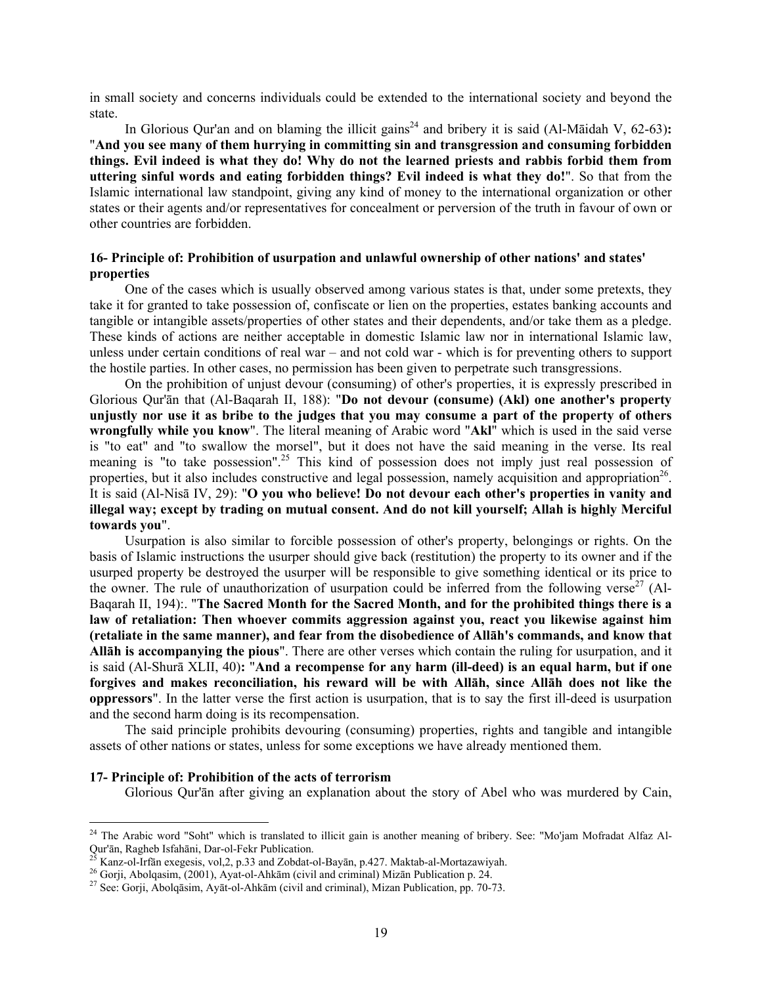in small society and concerns individuals could be extended to the international society and beyond the state.

In Glorious Our'an and on blaming the illicit gains<sup>24</sup> and bribery it is said (Al-Māidah V,  $62-63$ ): "**And you see many of them hurrying in committing sin and transgression and consuming forbidden things. Evil indeed is what they do! Why do not the learned priests and rabbis forbid them from uttering sinful words and eating forbidden things? Evil indeed is what they do!**". So that from the Islamic international law standpoint, giving any kind of money to the international organization or other states or their agents and/or representatives for concealment or perversion of the truth in favour of own or other countries are forbidden.

## **16- Principle of: Prohibition of usurpation and unlawful ownership of other nations' and states' properties**

One of the cases which is usually observed among various states is that, under some pretexts, they take it for granted to take possession of, confiscate or lien on the properties, estates banking accounts and tangible or intangible assets/properties of other states and their dependents, and/or take them as a pledge. These kinds of actions are neither acceptable in domestic Islamic law nor in international Islamic law, unless under certain conditions of real war – and not cold war - which is for preventing others to support the hostile parties. In other cases, no permission has been given to perpetrate such transgressions.

On the prohibition of unjust devour (consuming) of other's properties, it is expressly prescribed in Glorious Qur'ān that (Al-Baqarah II, 188): "**Do not devour (consume) (Akl) one another's property unjustly nor use it as bribe to the judges that you may consume a part of the property of others wrongfully while you know**". The literal meaning of Arabic word "**Akl**" which is used in the said verse is "to eat" and "to swallow the morsel", but it does not have the said meaning in the verse. Its real meaning is "to take possession".<sup>25</sup> This kind of possession does not imply just real possession of properties, but it also includes constructive and legal possession, namely acquisition and appropriation<sup>26</sup>. It is said (Al-Nisā IV, 29): "**O you who believe! Do not devour each other's properties in vanity and illegal way; except by trading on mutual consent. And do not kill yourself; Allah is highly Merciful towards you**".

Usurpation is also similar to forcible possession of other's property, belongings or rights. On the basis of Islamic instructions the usurper should give back (restitution) the property to its owner and if the usurped property be destroyed the usurper will be responsible to give something identical or its price to the owner. The rule of unauthorization of usurpation could be inferred from the following verse<sup>27</sup> (Al-Baqarah II, 194):. "**The Sacred Month for the Sacred Month, and for the prohibited things there is a law of retaliation: Then whoever commits aggression against you, react you likewise against him (retaliate in the same manner), and fear from the disobedience of Allāh's commands, and know that Allāh is accompanying the pious**". There are other verses which contain the ruling for usurpation, and it is said (Al-Shurā XLII, 40)**:** "**And a recompense for any harm (ill-deed) is an equal harm, but if one forgives and makes reconciliation, his reward will be with Allāh, since Allāh does not like the oppressors**". In the latter verse the first action is usurpation, that is to say the first ill-deed is usurpation and the second harm doing is its recompensation.

The said principle prohibits devouring (consuming) properties, rights and tangible and intangible assets of other nations or states, unless for some exceptions we have already mentioned them.

## **17- Principle of: Prohibition of the acts of terrorism**

 $\overline{a}$ 

Glorious Qur'ān after giving an explanation about the story of Abel who was murdered by Cain,

<sup>&</sup>lt;sup>24</sup> The Arabic word "Soht" which is translated to illicit gain is another meaning of bribery. See: "Mo'jam Mofradat Alfaz Al-Puran, Ragheb Isfahāni, Dar-ol-Fekr Publication.<br><sup>25</sup> Kanz-ol-Irfān exegesis, vol, 2, p.33 and Zobdat-ol-Bayān, p.427. Maktab-al-Mortazawiyah.<br><sup>26</sup> Gorji, Abolqasim, (2001), Ayat-ol-Ahkām (civil and criminal) Mizān Publica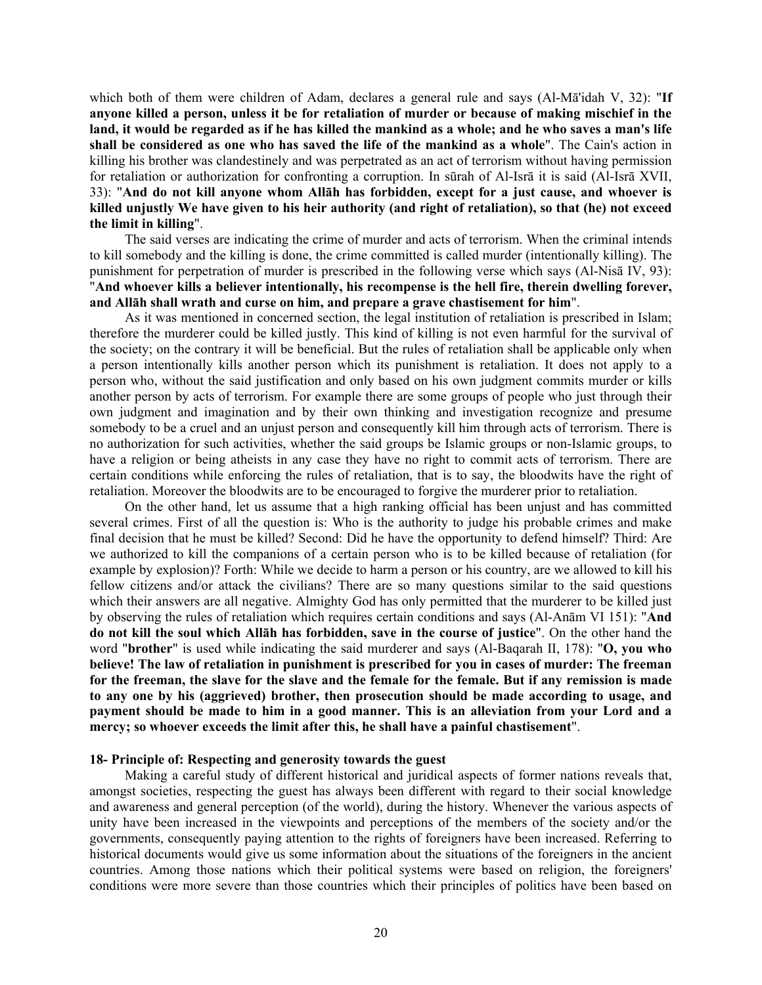which both of them were children of Adam, declares a general rule and says (Al-Mā'idah V, 32): "**If anyone killed a person, unless it be for retaliation of murder or because of making mischief in the land, it would be regarded as if he has killed the mankind as a whole; and he who saves a man's life shall be considered as one who has saved the life of the mankind as a whole**". The Cain's action in killing his brother was clandestinely and was perpetrated as an act of terrorism without having permission for retaliation or authorization for confronting a corruption. In sūrah of Al-Isrā it is said (Al-Isrā XVII, 33): "**And do not kill anyone whom Allāh has forbidden, except for a just cause, and whoever is killed unjustly We have given to his heir authority (and right of retaliation), so that (he) not exceed the limit in killing**".

The said verses are indicating the crime of murder and acts of terrorism. When the criminal intends to kill somebody and the killing is done, the crime committed is called murder (intentionally killing). The punishment for perpetration of murder is prescribed in the following verse which says (Al-Nisā IV, 93): "**And whoever kills a believer intentionally, his recompense is the hell fire, therein dwelling forever, and Allāh shall wrath and curse on him, and prepare a grave chastisement for him**".

As it was mentioned in concerned section, the legal institution of retaliation is prescribed in Islam; therefore the murderer could be killed justly. This kind of killing is not even harmful for the survival of the society; on the contrary it will be beneficial. But the rules of retaliation shall be applicable only when a person intentionally kills another person which its punishment is retaliation. It does not apply to a person who, without the said justification and only based on his own judgment commits murder or kills another person by acts of terrorism. For example there are some groups of people who just through their own judgment and imagination and by their own thinking and investigation recognize and presume somebody to be a cruel and an unjust person and consequently kill him through acts of terrorism. There is no authorization for such activities, whether the said groups be Islamic groups or non-Islamic groups, to have a religion or being atheists in any case they have no right to commit acts of terrorism. There are certain conditions while enforcing the rules of retaliation, that is to say, the bloodwits have the right of retaliation. Moreover the bloodwits are to be encouraged to forgive the murderer prior to retaliation.

On the other hand, let us assume that a high ranking official has been unjust and has committed several crimes. First of all the question is: Who is the authority to judge his probable crimes and make final decision that he must be killed? Second: Did he have the opportunity to defend himself? Third: Are we authorized to kill the companions of a certain person who is to be killed because of retaliation (for example by explosion)? Forth: While we decide to harm a person or his country, are we allowed to kill his fellow citizens and/or attack the civilians? There are so many questions similar to the said questions which their answers are all negative. Almighty God has only permitted that the murderer to be killed just by observing the rules of retaliation which requires certain conditions and says (Al-Anām VI 151): "**And do not kill the soul which Allāh has forbidden, save in the course of justice**". On the other hand the word "**brother**" is used while indicating the said murderer and says (Al-Baqarah II, 178): "**O, you who believe! The law of retaliation in punishment is prescribed for you in cases of murder: The freeman for the freeman, the slave for the slave and the female for the female. But if any remission is made to any one by his (aggrieved) brother, then prosecution should be made according to usage, and payment should be made to him in a good manner. This is an alleviation from your Lord and a mercy; so whoever exceeds the limit after this, he shall have a painful chastisement**".

#### **18- Principle of: Respecting and generosity towards the guest**

Making a careful study of different historical and juridical aspects of former nations reveals that, amongst societies, respecting the guest has always been different with regard to their social knowledge and awareness and general perception (of the world), during the history. Whenever the various aspects of unity have been increased in the viewpoints and perceptions of the members of the society and/or the governments, consequently paying attention to the rights of foreigners have been increased. Referring to historical documents would give us some information about the situations of the foreigners in the ancient countries. Among those nations which their political systems were based on religion, the foreigners' conditions were more severe than those countries which their principles of politics have been based on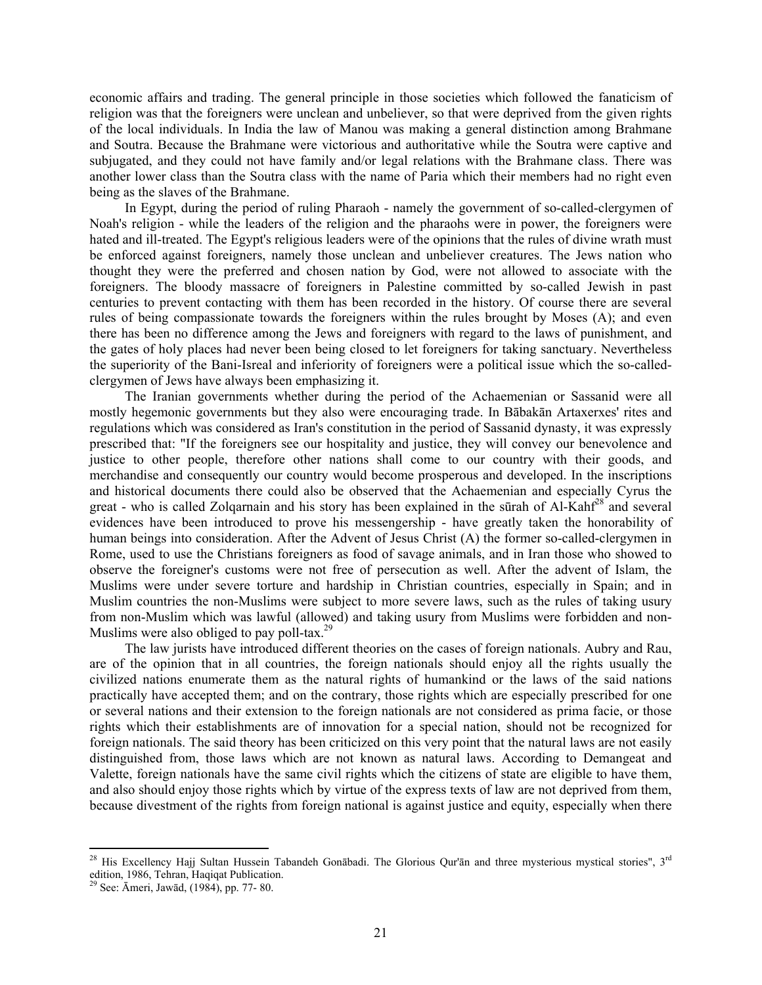economic affairs and trading. The general principle in those societies which followed the fanaticism of religion was that the foreigners were unclean and unbeliever, so that were deprived from the given rights of the local individuals. In India the law of Manou was making a general distinction among Brahmane and Soutra. Because the Brahmane were victorious and authoritative while the Soutra were captive and subjugated, and they could not have family and/or legal relations with the Brahmane class. There was another lower class than the Soutra class with the name of Paria which their members had no right even being as the slaves of the Brahmane.

In Egypt, during the period of ruling Pharaoh - namely the government of so-called-clergymen of Noah's religion - while the leaders of the religion and the pharaohs were in power, the foreigners were hated and ill-treated. The Egypt's religious leaders were of the opinions that the rules of divine wrath must be enforced against foreigners, namely those unclean and unbeliever creatures. The Jews nation who thought they were the preferred and chosen nation by God, were not allowed to associate with the foreigners. The bloody massacre of foreigners in Palestine committed by so-called Jewish in past centuries to prevent contacting with them has been recorded in the history. Of course there are several rules of being compassionate towards the foreigners within the rules brought by Moses (A); and even there has been no difference among the Jews and foreigners with regard to the laws of punishment, and the gates of holy places had never been being closed to let foreigners for taking sanctuary. Nevertheless the superiority of the Bani-Isreal and inferiority of foreigners were a political issue which the so-calledclergymen of Jews have always been emphasizing it.

The Iranian governments whether during the period of the Achaemenian or Sassanid were all mostly hegemonic governments but they also were encouraging trade. In Bābakān Artaxerxes' rites and regulations which was considered as Iran's constitution in the period of Sassanid dynasty, it was expressly prescribed that: "If the foreigners see our hospitality and justice, they will convey our benevolence and justice to other people, therefore other nations shall come to our country with their goods, and merchandise and consequently our country would become prosperous and developed. In the inscriptions and historical documents there could also be observed that the Achaemenian and especially Cyrus the great - who is called Zolqarnain and his story has been explained in the sūrah of Al-Kahf<sup>28</sup> and several evidences have been introduced to prove his messengership - have greatly taken the honorability of human beings into consideration. After the Advent of Jesus Christ (A) the former so-called-clergymen in Rome, used to use the Christians foreigners as food of savage animals, and in Iran those who showed to observe the foreigner's customs were not free of persecution as well. After the advent of Islam, the Muslims were under severe torture and hardship in Christian countries, especially in Spain; and in Muslim countries the non-Muslims were subject to more severe laws, such as the rules of taking usury from non-Muslim which was lawful (allowed) and taking usury from Muslims were forbidden and non-Muslims were also obliged to pay poll-tax.<sup>29</sup>

The law jurists have introduced different theories on the cases of foreign nationals. Aubry and Rau, are of the opinion that in all countries, the foreign nationals should enjoy all the rights usually the civilized nations enumerate them as the natural rights of humankind or the laws of the said nations practically have accepted them; and on the contrary, those rights which are especially prescribed for one or several nations and their extension to the foreign nationals are not considered as prima facie, or those rights which their establishments are of innovation for a special nation, should not be recognized for foreign nationals. The said theory has been criticized on this very point that the natural laws are not easily distinguished from, those laws which are not known as natural laws. According to Demangeat and Valette, foreign nationals have the same civil rights which the citizens of state are eligible to have them, and also should enjoy those rights which by virtue of the express texts of law are not deprived from them, because divestment of the rights from foreign national is against justice and equity, especially when there

<sup>&</sup>lt;sup>28</sup> His Excellency Hajj Sultan Hussein Tabandeh Gonābadi. The Glorious Qur'ān and three mysterious mystical stories", 3<sup>rd</sup> edition, 1986, Tehran, Haqiqat Publication.

<sup>29</sup> See: Āmeri, Jawād, (1984), pp. 77- 80.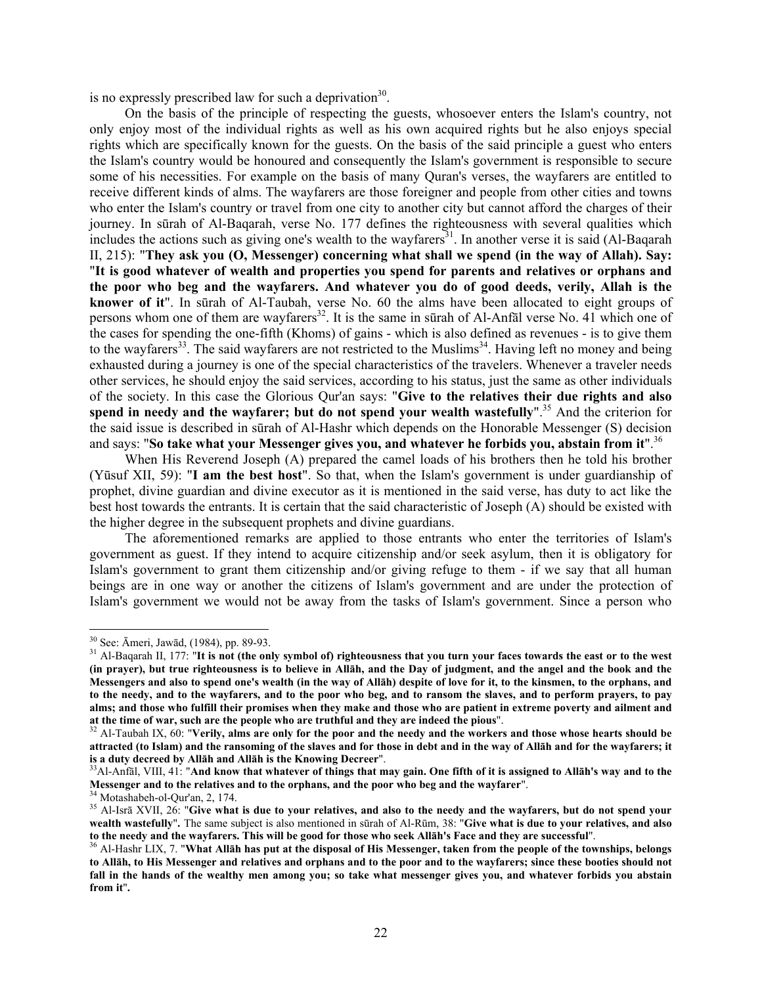is no expressly prescribed law for such a deprivation<sup>30</sup>.

On the basis of the principle of respecting the guests, whosoever enters the Islam's country, not only enjoy most of the individual rights as well as his own acquired rights but he also enjoys special rights which are specifically known for the guests. On the basis of the said principle a guest who enters the Islam's country would be honoured and consequently the Islam's government is responsible to secure some of his necessities. For example on the basis of many Quran's verses, the wayfarers are entitled to receive different kinds of alms. The wayfarers are those foreigner and people from other cities and towns who enter the Islam's country or travel from one city to another city but cannot afford the charges of their journey. In sūrah of Al-Baqarah, verse No. 177 defines the righteousness with several qualities which includes the actions such as giving one's wealth to the wayfarers<sup>31</sup>. In another verse it is said (Al-Baqarah II, 215): "**They ask you (O, Messenger) concerning what shall we spend (in the way of Allah). Say:**  "**It is good whatever of wealth and properties you spend for parents and relatives or orphans and the poor who beg and the wayfarers. And whatever you do of good deeds, verily, Allah is the knower of it**". In sūrah of Al-Taubah, verse No. 60 the alms have been allocated to eight groups of persons whom one of them are wayfarers<sup>32</sup>. It is the same in sūrah of Al-Anfāl verse No. 41 which one of the cases for spending the one-fifth (Khoms) of gains - which is also defined as revenues - is to give them to the wayfarers<sup>33</sup>. The said wayfarers are not restricted to the Muslims<sup>34</sup>. Having left no money and being exhausted during a journey is one of the special characteristics of the travelers. Whenever a traveler needs other services, he should enjoy the said services, according to his status, just the same as other individuals of the society. In this case the Glorious Qur'an says: "**Give to the relatives their due rights and also**  spend in needy and the wayfarer; but do not spend your wealth wastefully".<sup>35</sup> And the criterion for the said issue is described in sūrah of Al-Hashr which depends on the Honorable Messenger (S) decision and says: "So take what your Messenger gives you, and whatever he forbids you, abstain from it".<sup>36</sup>

When His Reverend Joseph (A) prepared the camel loads of his brothers then he told his brother (Yūsuf XII, 59): "**I am the best host**". So that, when the Islam's government is under guardianship of prophet, divine guardian and divine executor as it is mentioned in the said verse, has duty to act like the best host towards the entrants. It is certain that the said characteristic of Joseph (A) should be existed with the higher degree in the subsequent prophets and divine guardians.

The aforementioned remarks are applied to those entrants who enter the territories of Islam's government as guest. If they intend to acquire citizenship and/or seek asylum, then it is obligatory for Islam's government to grant them citizenship and/or giving refuge to them - if we say that all human beings are in one way or another the citizens of Islam's government and are under the protection of Islam's government we would not be away from the tasks of Islam's government. Since a person who

<sup>&</sup>lt;sup>30</sup> See: Āmeri, Jawād, (1984), pp. 89-93.

<sup>&</sup>lt;sup>31</sup> Al-Baqarah II, 177: "It is not (the only symbol of) righteousness that you turn your faces towards the east or to the west **(in prayer), but true righteousness is to believe in Allāh, and the Day of judgment, and the angel and the book and the Messengers and also to spend one's wealth (in the way of Allāh) despite of love for it, to the kinsmen, to the orphans, and to the needy, and to the wayfarers, and to the poor who beg, and to ransom the slaves, and to perform prayers, to pay alms; and those who fulfill their promises when they make and those who are patient in extreme poverty and ailment and at the time of war, such are the people who are truthful and they are indeed the pious**". 32 Al-Taubah IX, 60: "**Verily, alms are only for the poor and the needy and the workers and those whose hearts should be** 

**attracted (to Islam) and the ransoming of the slaves and for those in debt and in the way of Allāh and for the wayfarers; it**  is a duty decreed by Allah and Allah is the Knowing Decreer".<br><sup>33</sup>Al-Anfāl, VIII, 41: "And know that whatever of things that may gain. One fifth of it is assigned to Allāh's way and to the

**Messenger and to the relatives and to the orphans, and the poor who beg and the wayfarer**". 34 Motashabeh-ol-Qur'an, 2, 174.

<sup>35</sup> Al-Isrā XVII, 26: "**Give what is due to your relatives, and also to the needy and the wayfarers, but do not spend your wealth wastefully**"**.** The same subject is also mentioned in sūrah of Al-Rūm, 38: "**Give what is due to your relatives, and also** 

 $36$  Al-Hashr LIX, 7. "What Allah has put at the disposal of His Messenger, taken from the people of the townships, belongs **to Allāh, to His Messenger and relatives and orphans and to the poor and to the wayfarers; since these booties should not fall in the hands of the wealthy men among you; so take what messenger gives you, and whatever forbids you abstain from it**"**.**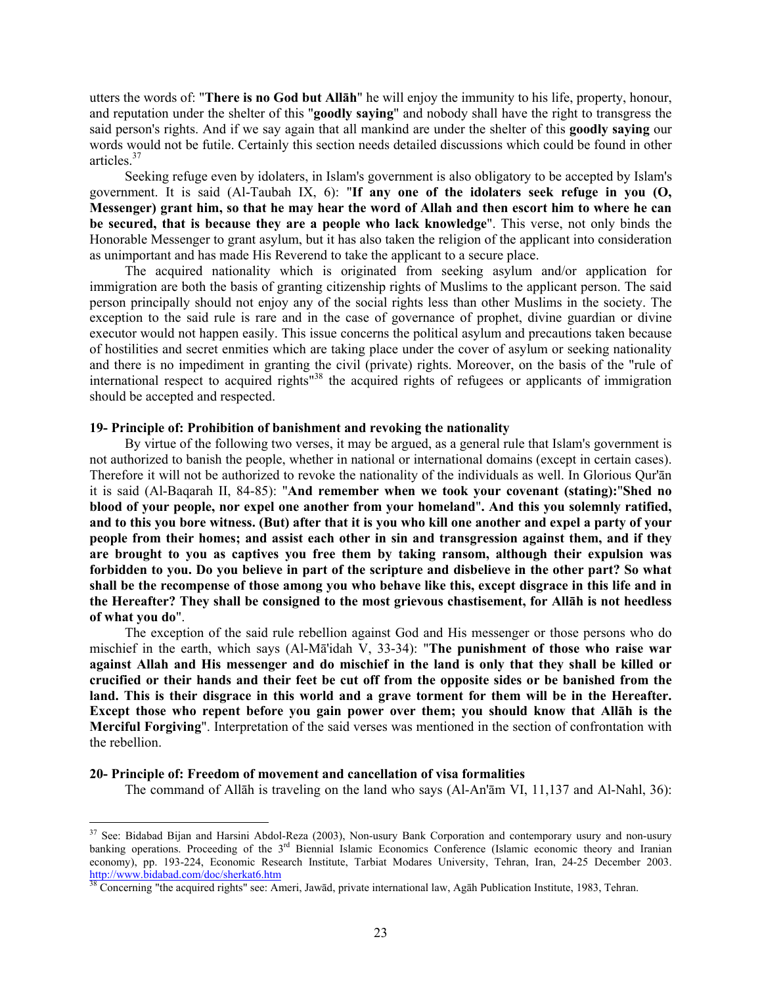utters the words of: "**There is no God but Allāh**" he will enjoy the immunity to his life, property, honour, and reputation under the shelter of this "**goodly saying**" and nobody shall have the right to transgress the said person's rights. And if we say again that all mankind are under the shelter of this **goodly saying** our words would not be futile. Certainly this section needs detailed discussions which could be found in other articles<sup>37</sup>

Seeking refuge even by idolaters, in Islam's government is also obligatory to be accepted by Islam's government. It is said (Al-Taubah IX, 6): "**If any one of the idolaters seek refuge in you (O, Messenger) grant him, so that he may hear the word of Allah and then escort him to where he can be secured, that is because they are a people who lack knowledge**". This verse, not only binds the Honorable Messenger to grant asylum, but it has also taken the religion of the applicant into consideration as unimportant and has made His Reverend to take the applicant to a secure place.

The acquired nationality which is originated from seeking asylum and/or application for immigration are both the basis of granting citizenship rights of Muslims to the applicant person. The said person principally should not enjoy any of the social rights less than other Muslims in the society. The exception to the said rule is rare and in the case of governance of prophet, divine guardian or divine executor would not happen easily. This issue concerns the political asylum and precautions taken because of hostilities and secret enmities which are taking place under the cover of asylum or seeking nationality and there is no impediment in granting the civil (private) rights. Moreover, on the basis of the "rule of international respect to acquired rights<sup>"38</sup> the acquired rights of refugees or applicants of immigration should be accepted and respected.

#### **19- Principle of: Prohibition of banishment and revoking the nationality**

By virtue of the following two verses, it may be argued, as a general rule that Islam's government is not authorized to banish the people, whether in national or international domains (except in certain cases). Therefore it will not be authorized to revoke the nationality of the individuals as well. In Glorious Qur'ān it is said (Al-Baqarah II, 84-85): "**And remember when we took your covenant (stating):**"**Shed no blood of your people, nor expel one another from your homeland**"**. And this you solemnly ratified, and to this you bore witness. (But) after that it is you who kill one another and expel a party of your people from their homes; and assist each other in sin and transgression against them, and if they are brought to you as captives you free them by taking ransom, although their expulsion was forbidden to you. Do you believe in part of the scripture and disbelieve in the other part? So what shall be the recompense of those among you who behave like this, except disgrace in this life and in the Hereafter? They shall be consigned to the most grievous chastisement, for Allāh is not heedless of what you do**".

The exception of the said rule rebellion against God and His messenger or those persons who do mischief in the earth, which says (Al-Mā'idah V, 33-34): "**The punishment of those who raise war against Allah and His messenger and do mischief in the land is only that they shall be killed or crucified or their hands and their feet be cut off from the opposite sides or be banished from the land. This is their disgrace in this world and a grave torment for them will be in the Hereafter. Except those who repent before you gain power over them; you should know that Allāh is the Merciful Forgiving**". Interpretation of the said verses was mentioned in the section of confrontation with the rebellion.

#### **20- Principle of: Freedom of movement and cancellation of visa formalities**

 $\overline{a}$ 

The command of Allāh is traveling on the land who says (Al-An'ām VI, 11,137 and Al-Nahl, 36):

 $37$  See: Bidabad Bijan and Harsini Abdol-Reza (2003), Non-usury Bank Corporation and contemporary usury and non-usury banking operations. Proceeding of the 3<sup>rd</sup> Biennial Islamic Economics Conference (Islamic economic theory and Iranian economy), pp. 193-224, Economic Research Institute, Tarbiat Modares University, Tehran, Iran, 24-25 December 2003. http://www.bidabad.com/doc/sherkat6.htm

<sup>&</sup>lt;sup>38</sup> Concerning "the acquired rights" see: Ameri, Jawād, private international law, Agāh Publication Institute, 1983, Tehran.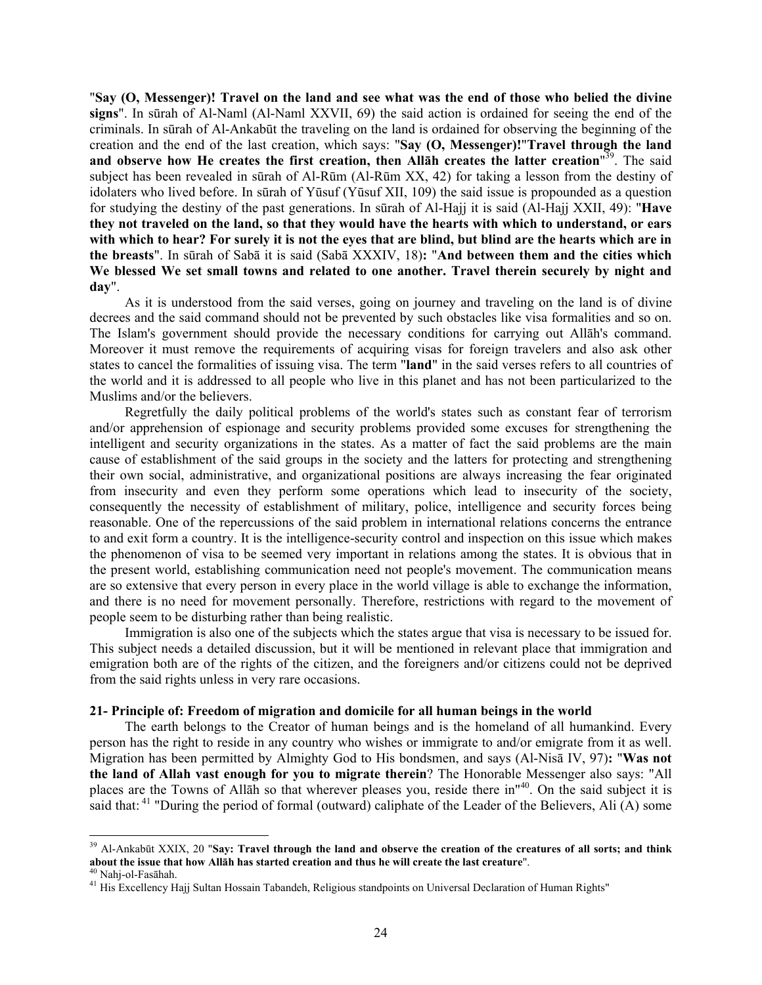"**Say (O, Messenger)! Travel on the land and see what was the end of those who belied the divine signs**". In sūrah of Al-Naml (Al-Naml XXVII, 69) the said action is ordained for seeing the end of the criminals. In sūrah of Al-Ankabūt the traveling on the land is ordained for observing the beginning of the creation and the end of the last creation, which says: "**Say (O, Messenger)!**"**Travel through the land and observe how He creates the first creation, then Allāh creates the latter creation**" 39. The said subject has been revealed in sūrah of Al-Rūm (Al-Rūm XX, 42) for taking a lesson from the destiny of idolaters who lived before. In sūrah of Yūsuf (Yūsuf XII, 109) the said issue is propounded as a question for studying the destiny of the past generations. In sūrah of Al-Hajj it is said (Al-Hajj XXII, 49): "**Have they not traveled on the land, so that they would have the hearts with which to understand, or ears with which to hear? For surely it is not the eyes that are blind, but blind are the hearts which are in the breasts**". In sūrah of Sabā it is said (Sabā XXXIV, 18)**:** "**And between them and the cities which We blessed We set small towns and related to one another. Travel therein securely by night and day**".

As it is understood from the said verses, going on journey and traveling on the land is of divine decrees and the said command should not be prevented by such obstacles like visa formalities and so on. The Islam's government should provide the necessary conditions for carrying out Allāh's command. Moreover it must remove the requirements of acquiring visas for foreign travelers and also ask other states to cancel the formalities of issuing visa. The term "**land**" in the said verses refers to all countries of the world and it is addressed to all people who live in this planet and has not been particularized to the Muslims and/or the believers.

Regretfully the daily political problems of the world's states such as constant fear of terrorism and/or apprehension of espionage and security problems provided some excuses for strengthening the intelligent and security organizations in the states. As a matter of fact the said problems are the main cause of establishment of the said groups in the society and the latters for protecting and strengthening their own social, administrative, and organizational positions are always increasing the fear originated from insecurity and even they perform some operations which lead to insecurity of the society, consequently the necessity of establishment of military, police, intelligence and security forces being reasonable. One of the repercussions of the said problem in international relations concerns the entrance to and exit form a country. It is the intelligence-security control and inspection on this issue which makes the phenomenon of visa to be seemed very important in relations among the states. It is obvious that in the present world, establishing communication need not people's movement. The communication means are so extensive that every person in every place in the world village is able to exchange the information, and there is no need for movement personally. Therefore, restrictions with regard to the movement of people seem to be disturbing rather than being realistic.

Immigration is also one of the subjects which the states argue that visa is necessary to be issued for. This subject needs a detailed discussion, but it will be mentioned in relevant place that immigration and emigration both are of the rights of the citizen, and the foreigners and/or citizens could not be deprived from the said rights unless in very rare occasions.

## **21- Principle of: Freedom of migration and domicile for all human beings in the world**

The earth belongs to the Creator of human beings and is the homeland of all humankind. Every person has the right to reside in any country who wishes or immigrate to and/or emigrate from it as well. Migration has been permitted by Almighty God to His bondsmen, and says (Al-Nisā IV, 97)**:** "**Was not the land of Allah vast enough for you to migrate therein**? The Honorable Messenger also says: "All places are the Towns of Allāh so that wherever pleases you, reside there in"40. On the said subject it is said that: <sup>41</sup> "During the period of formal (outward) caliphate of the Leader of the Believers, Ali (A) some

<sup>39</sup> Al-Ankabūt XXIX, 20 "**Say: Travel through the land and observe the creation of the creatures of all sorts; and think**  about the issue that how Allah has started creation and thus he will create the last creature".<br>  $^{40}$  Nahj-ol-Fasahah.<br>  $^{41}$  His Excellency Hajj Sultan Hossain Tabandeh, Religious standpoints on Universal Declaration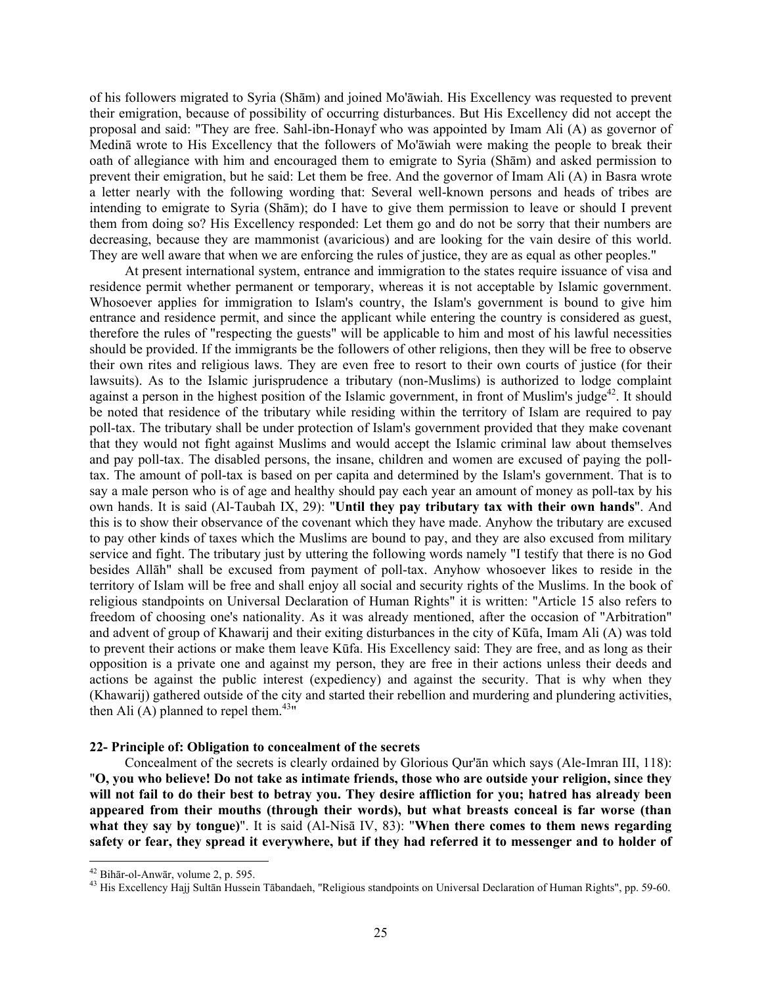of his followers migrated to Syria (Shām) and joined Mo'āwiah. His Excellency was requested to prevent their emigration, because of possibility of occurring disturbances. But His Excellency did not accept the proposal and said: "They are free. Sahl-ibn-Honayf who was appointed by Imam Ali (A) as governor of Medinā wrote to His Excellency that the followers of Mo'āwiah were making the people to break their oath of allegiance with him and encouraged them to emigrate to Syria (Shām) and asked permission to prevent their emigration, but he said: Let them be free. And the governor of Imam Ali (A) in Basra wrote a letter nearly with the following wording that: Several well-known persons and heads of tribes are intending to emigrate to Syria (Shām); do I have to give them permission to leave or should I prevent them from doing so? His Excellency responded: Let them go and do not be sorry that their numbers are decreasing, because they are mammonist (avaricious) and are looking for the vain desire of this world. They are well aware that when we are enforcing the rules of justice, they are as equal as other peoples."

At present international system, entrance and immigration to the states require issuance of visa and residence permit whether permanent or temporary, whereas it is not acceptable by Islamic government. Whosoever applies for immigration to Islam's country, the Islam's government is bound to give him entrance and residence permit, and since the applicant while entering the country is considered as guest, therefore the rules of "respecting the guests" will be applicable to him and most of his lawful necessities should be provided. If the immigrants be the followers of other religions, then they will be free to observe their own rites and religious laws. They are even free to resort to their own courts of justice (for their lawsuits). As to the Islamic jurisprudence a tributary (non-Muslims) is authorized to lodge complaint against a person in the highest position of the Islamic government, in front of Muslim's judge $42$ . It should be noted that residence of the tributary while residing within the territory of Islam are required to pay poll-tax. The tributary shall be under protection of Islam's government provided that they make covenant that they would not fight against Muslims and would accept the Islamic criminal law about themselves and pay poll-tax. The disabled persons, the insane, children and women are excused of paying the polltax. The amount of poll-tax is based on per capita and determined by the Islam's government. That is to say a male person who is of age and healthy should pay each year an amount of money as poll-tax by his own hands. It is said (Al-Taubah IX, 29): "**Until they pay tributary tax with their own hands**". And this is to show their observance of the covenant which they have made. Anyhow the tributary are excused to pay other kinds of taxes which the Muslims are bound to pay, and they are also excused from military service and fight. The tributary just by uttering the following words namely "I testify that there is no God besides Allāh" shall be excused from payment of poll-tax. Anyhow whosoever likes to reside in the territory of Islam will be free and shall enjoy all social and security rights of the Muslims. In the book of religious standpoints on Universal Declaration of Human Rights" it is written: "Article 15 also refers to freedom of choosing one's nationality. As it was already mentioned, after the occasion of "Arbitration" and advent of group of Khawarij and their exiting disturbances in the city of Kūfa, Imam Ali (A) was told to prevent their actions or make them leave Kūfa. His Excellency said: They are free, and as long as their opposition is a private one and against my person, they are free in their actions unless their deeds and actions be against the public interest (expediency) and against the security. That is why when they (Khawarij) gathered outside of the city and started their rebellion and murdering and plundering activities, then Ali  $(A)$  planned to repel them.<sup>43"</sup>

## **22- Principle of: Obligation to concealment of the secrets**

Concealment of the secrets is clearly ordained by Glorious Qur'ān which says (Ale-Imran III, 118): "**O, you who believe! Do not take as intimate friends, those who are outside your religion, since they will not fail to do their best to betray you. They desire affliction for you; hatred has already been appeared from their mouths (through their words), but what breasts conceal is far worse (than what they say by tongue)**". It is said (Al-Nisā IV, 83): "**When there comes to them news regarding safety or fear, they spread it everywhere, but if they had referred it to messenger and to holder of** 

<sup>&</sup>lt;sup>42</sup> Bihār-ol-Anwār, volume 2, p. 595.

<sup>&</sup>lt;sup>43</sup> His Excellency Hajj Sultān Hussein Tābandaeh, "Religious standpoints on Universal Declaration of Human Rights", pp. 59-60.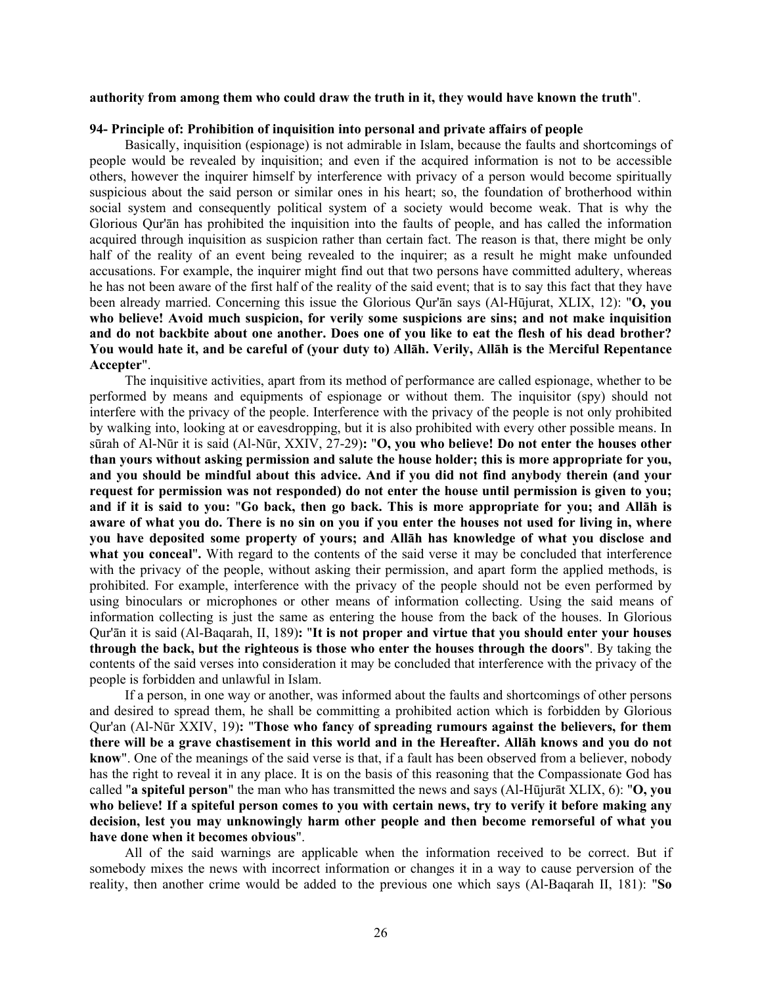#### **authority from among them who could draw the truth in it, they would have known the truth**".

#### **94- Principle of: Prohibition of inquisition into personal and private affairs of people**

Basically, inquisition (espionage) is not admirable in Islam, because the faults and shortcomings of people would be revealed by inquisition; and even if the acquired information is not to be accessible others, however the inquirer himself by interference with privacy of a person would become spiritually suspicious about the said person or similar ones in his heart; so, the foundation of brotherhood within social system and consequently political system of a society would become weak. That is why the Glorious Qur'ān has prohibited the inquisition into the faults of people, and has called the information acquired through inquisition as suspicion rather than certain fact. The reason is that, there might be only half of the reality of an event being revealed to the inquirer; as a result he might make unfounded accusations. For example, the inquirer might find out that two persons have committed adultery, whereas he has not been aware of the first half of the reality of the said event; that is to say this fact that they have been already married. Concerning this issue the Glorious Qur'ān says (Al-Hūjurat, XLIX, 12): "**O, you who believe! Avoid much suspicion, for verily some suspicions are sins; and not make inquisition and do not backbite about one another. Does one of you like to eat the flesh of his dead brother? You would hate it, and be careful of (your duty to) Allāh. Verily, Allāh is the Merciful Repentance Accepter**".

The inquisitive activities, apart from its method of performance are called espionage, whether to be performed by means and equipments of espionage or without them. The inquisitor (spy) should not interfere with the privacy of the people. Interference with the privacy of the people is not only prohibited by walking into, looking at or eavesdropping, but it is also prohibited with every other possible means. In sūrah of Al-Nūr it is said (Al-Nūr, XXIV, 27-29)**:** "**O, you who believe! Do not enter the houses other than yours without asking permission and salute the house holder; this is more appropriate for you, and you should be mindful about this advice. And if you did not find anybody therein (and your request for permission was not responded) do not enter the house until permission is given to you; and if it is said to you:** "**Go back, then go back. This is more appropriate for you; and Allāh is aware of what you do. There is no sin on you if you enter the houses not used for living in, where you have deposited some property of yours; and Allāh has knowledge of what you disclose and**  what you conceal". With regard to the contents of the said verse it may be concluded that interference with the privacy of the people, without asking their permission, and apart form the applied methods, is prohibited. For example, interference with the privacy of the people should not be even performed by using binoculars or microphones or other means of information collecting. Using the said means of information collecting is just the same as entering the house from the back of the houses. In Glorious Qur'ān it is said (Al-Baqarah, II, 189)**:** "**It is not proper and virtue that you should enter your houses through the back, but the righteous is those who enter the houses through the doors**". By taking the contents of the said verses into consideration it may be concluded that interference with the privacy of the people is forbidden and unlawful in Islam.

If a person, in one way or another, was informed about the faults and shortcomings of other persons and desired to spread them, he shall be committing a prohibited action which is forbidden by Glorious Qur'an (Al-Nūr XXIV, 19)**:** "**Those who fancy of spreading rumours against the believers, for them there will be a grave chastisement in this world and in the Hereafter. Allāh knows and you do not know**". One of the meanings of the said verse is that, if a fault has been observed from a believer, nobody has the right to reveal it in any place. It is on the basis of this reasoning that the Compassionate God has called "**a spiteful person**" the man who has transmitted the news and says (Al-Hūjurāt XLIX, 6): "**O, you who believe! If a spiteful person comes to you with certain news, try to verify it before making any decision, lest you may unknowingly harm other people and then become remorseful of what you have done when it becomes obvious**".

All of the said warnings are applicable when the information received to be correct. But if somebody mixes the news with incorrect information or changes it in a way to cause perversion of the reality, then another crime would be added to the previous one which says (Al-Baqarah II, 181): "**So**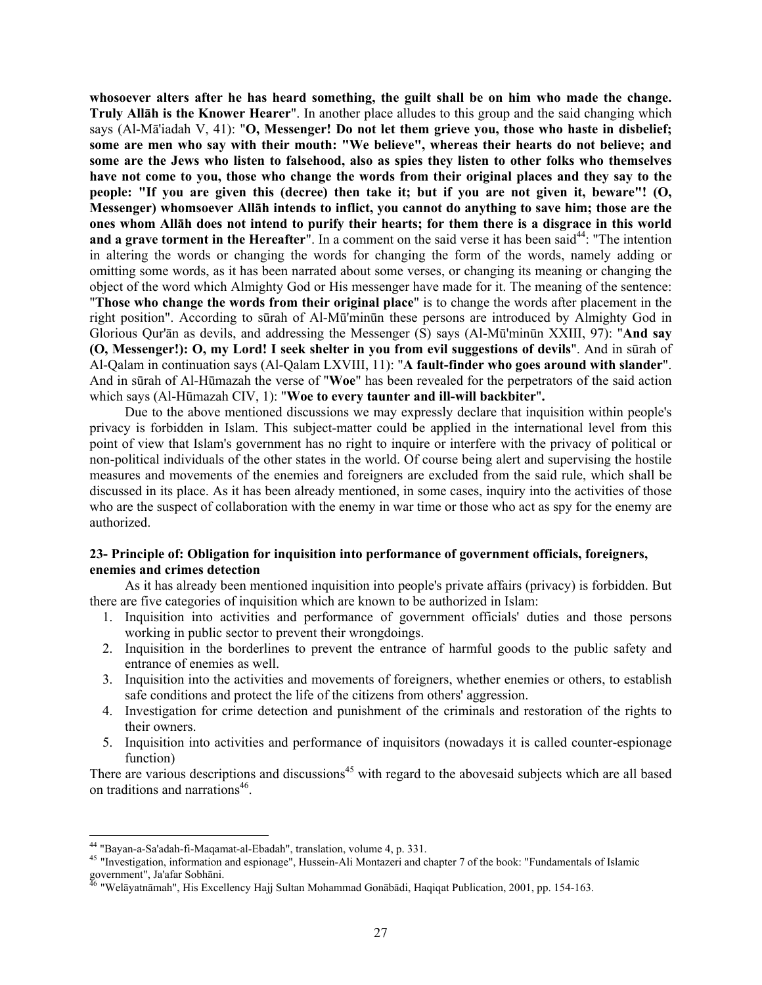**whosoever alters after he has heard something, the guilt shall be on him who made the change. Truly Allāh is the Knower Hearer**". In another place alludes to this group and the said changing which says (Al-Mā'iadah V, 41): "**O, Messenger! Do not let them grieve you, those who haste in disbelief; some are men who say with their mouth: "We believe", whereas their hearts do not believe; and some are the Jews who listen to falsehood, also as spies they listen to other folks who themselves have not come to you, those who change the words from their original places and they say to the people: "If you are given this (decree) then take it; but if you are not given it, beware"! (O, Messenger) whomsoever Allāh intends to inflict, you cannot do anything to save him; those are the ones whom Allāh does not intend to purify their hearts; for them there is a disgrace in this world and a grave torment in the Hereafter**". In a comment on the said verse it has been said<sup>44</sup>: "The intention in altering the words or changing the words for changing the form of the words, namely adding or omitting some words, as it has been narrated about some verses, or changing its meaning or changing the object of the word which Almighty God or His messenger have made for it. The meaning of the sentence: "**Those who change the words from their original place**" is to change the words after placement in the right position". According to sūrah of Al-Mū'minūn these persons are introduced by Almighty God in Glorious Qur'ān as devils, and addressing the Messenger (S) says (Al-Mū'minūn XXIII, 97): "**And say (O, Messenger!): O, my Lord! I seek shelter in you from evil suggestions of devils**". And in sūrah of Al-Qalam in continuation says (Al-Qalam LXVIII, 11): "**A fault-finder who goes around with slander**". And in sūrah of Al-Hūmazah the verse of "**Woe**" has been revealed for the perpetrators of the said action which says (Al-Hūmazah CIV, 1): "**Woe to every taunter and ill-will backbiter**"**.**

Due to the above mentioned discussions we may expressly declare that inquisition within people's privacy is forbidden in Islam. This subject-matter could be applied in the international level from this point of view that Islam's government has no right to inquire or interfere with the privacy of political or non-political individuals of the other states in the world. Of course being alert and supervising the hostile measures and movements of the enemies and foreigners are excluded from the said rule, which shall be discussed in its place. As it has been already mentioned, in some cases, inquiry into the activities of those who are the suspect of collaboration with the enemy in war time or those who act as spy for the enemy are authorized.

## **23- Principle of: Obligation for inquisition into performance of government officials, foreigners, enemies and crimes detection**

As it has already been mentioned inquisition into people's private affairs (privacy) is forbidden. But there are five categories of inquisition which are known to be authorized in Islam:

- 1. Inquisition into activities and performance of government officials' duties and those persons working in public sector to prevent their wrongdoings.
- 2. Inquisition in the borderlines to prevent the entrance of harmful goods to the public safety and entrance of enemies as well.
- 3. Inquisition into the activities and movements of foreigners, whether enemies or others, to establish safe conditions and protect the life of the citizens from others' aggression.
- 4. Investigation for crime detection and punishment of the criminals and restoration of the rights to their owners.
- 5. Inquisition into activities and performance of inquisitors (nowadays it is called counter-espionage function)

There are various descriptions and discussions<sup>45</sup> with regard to the abovesaid subjects which are all based on traditions and narrations<sup>46</sup>.

<sup>44 &</sup>quot;Bayan-a-Sa'adah-fi-Maqamat-al-Ebadah", translation, volume 4, p. 331.

<sup>&</sup>lt;sup>45</sup> "Investigation, information and espionage", Hussein-Ali Montazeri and chapter 7 of the book: "Fundamentals of Islamic government", Ja'afar Sobhāni.<br><sup>46</sup> "Wolayatr and L<sup>16</sup> "Wolayatr" and L<sup>16</sup> "Wolayatr" and L<sup>16</sup> "

<sup>&</sup>lt;sup>9</sup> "Welāyatnāmah", His Excellency Hajj Sultan Mohammad Gonābādi, Haqiqat Publication, 2001, pp. 154-163.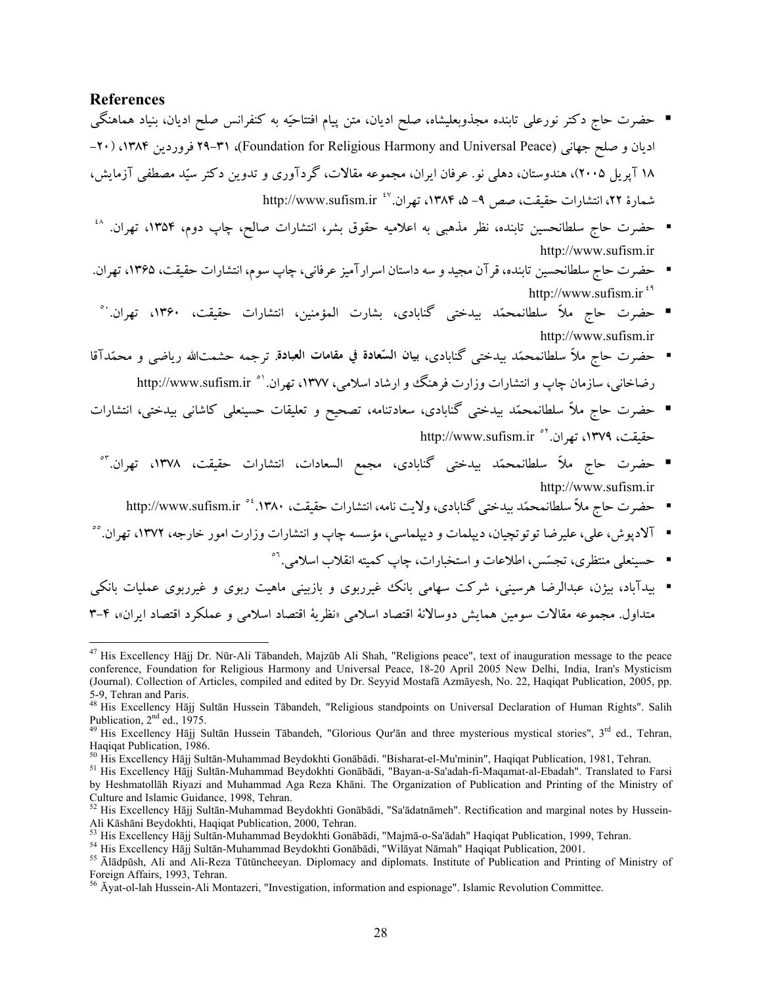## **References**

- حضرت حاج دكتر نورعلي تابنده مجذوبعليشاه، صلح اديان، متن پيام افتتاحيه به كنفرانس صلح اديان، بنياد هماهنگي -20) ،1384 فروردين 29-31 ،)Foundation for Religious Harmony and Universal Peace) جهاني صلح و اديان 18 آپريل 2005)، هندوستان، دهلي نو. عرفان ايران، مجموعه مقالات، گردآوري و تدوين دكتر سيد مصطفي آزمايش،  $http://www.sufism.ir <sup>'</sup>$ ، انتشارات حقيقت، صص ٩– ۵، ١٣٨۴، تهران. ``
- ٤٨ حضرت حاج سلطانحسين تابنده، نظر مذهبي به اعلاميه حقوق بشر، انتشارات صالح، چاپ دوم، ،1354 تهران. http://www.sufism.ir
- حضرت حاج سلطانحسين تابنده، قرآن مجيد و سه داستان اسرارآميزعرفاني، چاپ سوم، انتشارات حقيقت، ،1365 تهران. http://www.sufism.ir<sup> $\lambda$ </sup>
- ٥٠ حضرت حاج ملاّ سلطانمحمد بيدختي گنابادي، بشارت المؤمنين، انتشارات حقيقت، ،1360 تهران. http://www.sufism.ir
- حضرت حاج ملاّ سلطانمحمد بيدختي گنابادي، **بيان السّعادة في مقامات العبادة**. ترجمه حشمتاالله رياضي و محمدآقا رضاخاني، سازمان چاپ و انتشارات وزارت فرهنگ وو ارشاد اسلامي، ۱۳۷۷، تهران.<sup>۱°</sup> http://www.sufism.ir
- حضرت حاج ملاّ سلطانمحمد بيدختي گنابادي، سعادتنامه، تصحيح و تعليقات حسينعلي كاشاني بيدختي، انتشارات .تهران ،1379 ،حقيقت <sup>٥٢</sup> http://www.sufism.ir
	- حضرت حاج ملاّ سلطانمحمّد بيدختي گنابادی، مجمع السعادات، انتشارات حقيقت، ١٣٧٨، تهران.<sup>٣</sup> http://www.sufism.ir
		- = حضرت حاج ملاّ سلطانمحمّد بيدختي گنابادي، ولايت نامه، انتشارات حقيقت، ۱۳۸۰.°° http://www.sufism.ir
- ٥٥ آلادپوش،علي، عليرضا توتوتچيان، ديپلمات وديپلماسي، مؤسسه چاپ وانتشارات وزارت امور خارجه، ،1372 تهران.
	- ٥٦ حسينعلي منتظري، تجسس، اطلاعات واستخبارات، چاپ كميته انقلاب اسلامي.
- بيدآباد، بيژن، عبدالرضا هرسيني، شركت سهامي بانك غيرربوي و بازبيني ماهيت ربوي و غيرربوي عمليات بانكي متداول. مجموعه مقالات سومين همايش دوسالانة اقتصاد اسلامي «نظرية اقتصاد اسلامي و عملكرد اقتصاد ايران»، -4 3

<sup>&</sup>lt;sup>47</sup> His Excellency Hājj Dr. Nūr-Ali Tābandeh, Majzūb Ali Shah, "Religions peace", text of inauguration message to the peace conference, Foundation for Religious Harmony and Universal Peace, 18-20 April 2005 New Delhi, India, Iran's Mysticism (Journal). Collection of Articles, compiled and edited by Dr. Seyyid Mostafā Azmāyesh, No. 22, Haqiqat Publication, 2005, pp. 5-9, Tehran and Paris.

<sup>48</sup> His Excellency Hājj Sultān Hussein Tābandeh, "Religious standpoints on Universal Declaration of Human Rights". Salih Publication, 2<sup>nd</sup> ed., 1975.<br><sup>49</sup> His Excellency Hājj Sultān Hussein Tābandeh, "Glorious Qur'ān and three mysterious mystical stories", 3<sup>rd</sup> ed., Tehran,

Haqiqat Publication, 1986.<br><sup>50</sup> His Excellency Hājj Sultān-Muhammad Beydokhti Gonābādi. "Bisharat-el-Mu'minin", Haqiqat Publication, 1981, Tehran.

<sup>&</sup>lt;sup>51</sup> His Excellency Hajj Sultān-Muhammad Beydokhti Gonābādi, "Bayan-a-Sa'adah-fi-Maqamat-al-Ebadah". Translated to Farsi by Heshmatollāh Riyazi and Muhammad Aga Reza Khāni. The Organization of Publication and Printing of the Ministry of Culture and Islamic Guidance, 1998, Tehran.

<sup>52</sup> His Excellency Hājj Sultān-Muhammad Beydokhti Gonābādi, "Sa'ādatnāmeh". Rectification and marginal notes by Hussein-Ali Kāshāni Beydokhti, Haqiqat Publication, 2000, Tehran.<br>
<sup>53</sup> His Excellency Hājj Sultān-Muhammad Beydokhti Gonābādi, "Majmā-o-Sa'ādah" Haqiqat Publication, 1999, Tehran.<br>
<sup>54</sup> His Excellency Hājj Sultān-Muhammad Beydokh

Foreign Affairs, 1993, Tehran.

<sup>&</sup>lt;sup>56</sup> Āyat-ol-lah Hussein-Ali Montazeri, "Investigation, information and espionage". Islamic Revolution Committee.